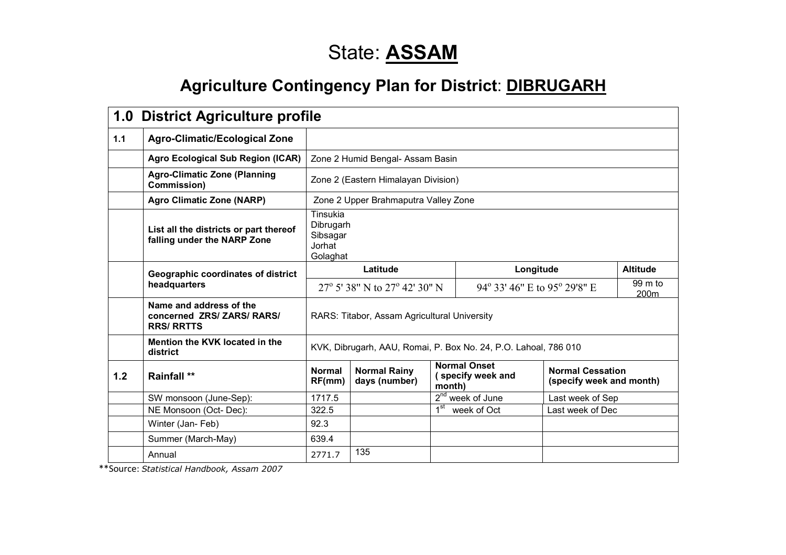# State: **ASSAM**

## **Agriculture Contingency Plan for District: DIBRUGARH**

|     | 1.0 District Agriculture profile                                           |                                                             |                                              |                 |                                                                 |                                                     |                 |  |  |  |
|-----|----------------------------------------------------------------------------|-------------------------------------------------------------|----------------------------------------------|-----------------|-----------------------------------------------------------------|-----------------------------------------------------|-----------------|--|--|--|
| 1.1 | <b>Agro-Climatic/Ecological Zone</b>                                       |                                                             |                                              |                 |                                                                 |                                                     |                 |  |  |  |
|     | <b>Agro Ecological Sub Region (ICAR)</b>                                   |                                                             | Zone 2 Humid Bengal- Assam Basin             |                 |                                                                 |                                                     |                 |  |  |  |
|     | <b>Agro-Climatic Zone (Planning</b><br>Commission)                         |                                                             | Zone 2 (Eastern Himalayan Division)          |                 |                                                                 |                                                     |                 |  |  |  |
|     | <b>Agro Climatic Zone (NARP)</b>                                           |                                                             | Zone 2 Upper Brahmaputra Valley Zone         |                 |                                                                 |                                                     |                 |  |  |  |
|     | List all the districts or part thereof<br>falling under the NARP Zone      | Tinsukia<br>Dibrugarh<br>Sibsagar<br>Jorhat<br>Golaghat     |                                              |                 |                                                                 |                                                     |                 |  |  |  |
|     | Geographic coordinates of district                                         | Latitude                                                    |                                              |                 | Longitude                                                       |                                                     | <b>Altitude</b> |  |  |  |
|     | headquarters                                                               | 27 $\rm{^{\circ}}$ 5' 38" N to 27 $\rm{^{\circ}}$ 42' 30" N |                                              |                 | 99 m to<br>94° 33′ 46″ E to 95° 29′8″ E<br>200m                 |                                                     |                 |  |  |  |
|     | Name and address of the<br>concerned ZRS/ ZARS/ RARS/<br><b>RRS/ RRTTS</b> |                                                             | RARS: Titabor, Assam Agricultural University |                 |                                                                 |                                                     |                 |  |  |  |
|     | Mention the KVK located in the<br>district                                 |                                                             |                                              |                 | KVK, Dibrugarh, AAU, Romai, P. Box No. 24, P.O. Lahoal, 786 010 |                                                     |                 |  |  |  |
| 1.2 | <b>Rainfall **</b>                                                         | <b>Normal</b><br>RF(mm)                                     | <b>Normal Rainy</b><br>days (number)         | month)          | <b>Normal Onset</b><br>(specify week and                        | <b>Normal Cessation</b><br>(specify week and month) |                 |  |  |  |
|     | SW monsoon (June-Sep):                                                     | 1717.5                                                      |                                              |                 | 2 <sup>nd</sup> week of June                                    | Last week of Sep                                    |                 |  |  |  |
|     | NE Monsoon (Oct-Dec):                                                      | 322.5                                                       |                                              | 1 <sup>st</sup> | week of Oct                                                     | Last week of Dec                                    |                 |  |  |  |
|     | Winter (Jan-Feb)                                                           | 92.3                                                        |                                              |                 |                                                                 |                                                     |                 |  |  |  |
|     | Summer (March-May)                                                         | 639.4                                                       |                                              |                 |                                                                 |                                                     |                 |  |  |  |
|     | Annual                                                                     | 2771.7                                                      | 135                                          |                 |                                                                 |                                                     |                 |  |  |  |

\*\*Source: Statistical Handbook, Assam 2007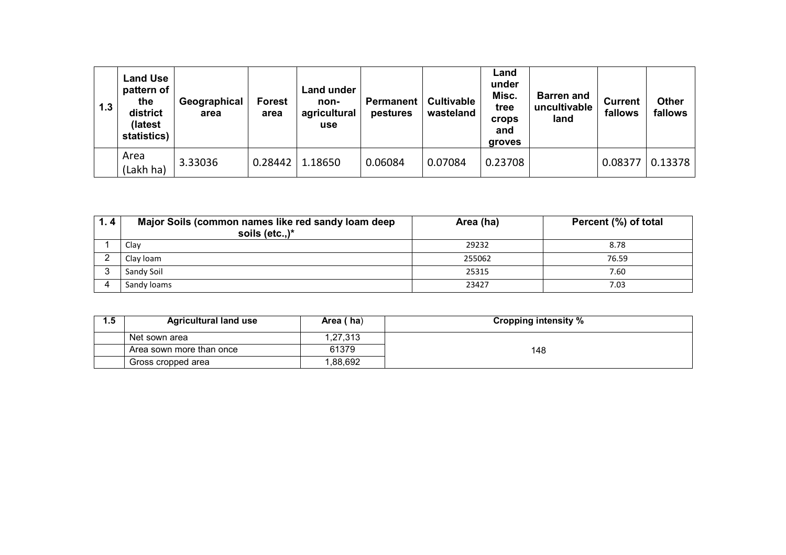| 1.3 | <b>Land Use</b><br>pattern of<br>the<br>district<br>(latest<br>statistics) | Geographical<br>area | <b>Forest</b><br>area | <b>Land under</b><br>non-<br>agricultural<br>use | Permanent  <br>pestures | <b>Cultivable</b><br>wasteland | Land<br>under<br>Misc.<br>tree<br><b>crops</b><br>and<br>groves | <b>Barren and</b><br>uncultivable<br>land | <b>Current</b><br>fallows | <b>Other</b><br>fallows |
|-----|----------------------------------------------------------------------------|----------------------|-----------------------|--------------------------------------------------|-------------------------|--------------------------------|-----------------------------------------------------------------|-------------------------------------------|---------------------------|-------------------------|
|     | Area<br>(Lakh ha)                                                          | 3.33036              | 0.28442               | 1.18650                                          | 0.06084                 | 0.07084                        | 0.23708                                                         |                                           | 0.08377                   | 0.13378                 |

| 1.4 | Major Soils (common names like red sandy loam deep<br>soils (etc.,) $*$ | Area (ha) | Percent (%) of total |
|-----|-------------------------------------------------------------------------|-----------|----------------------|
|     | Clay                                                                    | 29232     | 8.78                 |
|     | Clay Ioam                                                               | 255062    | 76.59                |
|     | Sandy Soil                                                              | 25315     | 7.60                 |
|     | Sandy loams                                                             | 23427     | 7.03                 |

| <b>Agricultural land use</b> | Area (ha) | <b>Cropping intensity %</b> |
|------------------------------|-----------|-----------------------------|
| Net sown area                | ,27,313   |                             |
| Area sown more than once     | 61379     | 148                         |
| Gross cropped area           | ,88,692   |                             |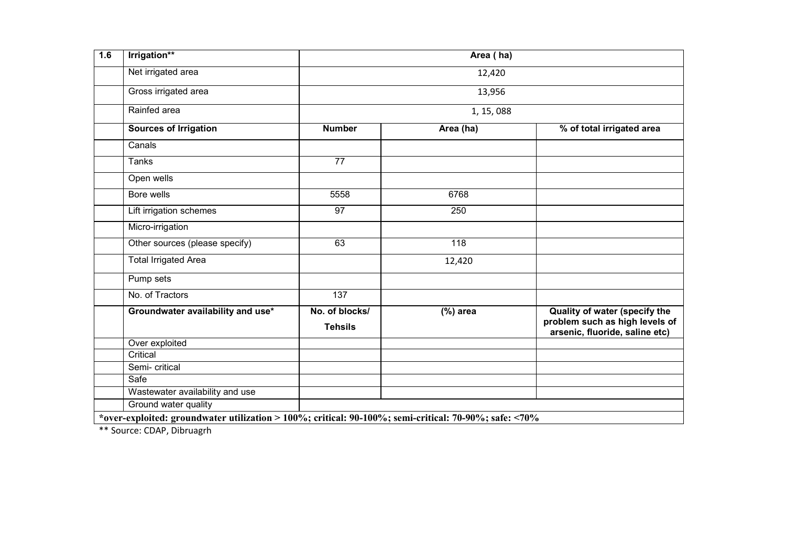| 1.6 | Irrigation**                                                                                          |                                  | Area (ha)  |                                                                                                   |  |  |  |  |
|-----|-------------------------------------------------------------------------------------------------------|----------------------------------|------------|---------------------------------------------------------------------------------------------------|--|--|--|--|
|     | Net irrigated area                                                                                    |                                  | 12,420     |                                                                                                   |  |  |  |  |
|     | Gross irrigated area                                                                                  | 13,956                           |            |                                                                                                   |  |  |  |  |
|     | Rainfed area                                                                                          |                                  | 1, 15, 088 |                                                                                                   |  |  |  |  |
|     | <b>Sources of Irrigation</b>                                                                          | <b>Number</b>                    | Area (ha)  | % of total irrigated area                                                                         |  |  |  |  |
|     | Canals                                                                                                |                                  |            |                                                                                                   |  |  |  |  |
|     | <b>Tanks</b>                                                                                          | $\overline{77}$                  |            |                                                                                                   |  |  |  |  |
|     | Open wells                                                                                            |                                  |            |                                                                                                   |  |  |  |  |
|     | Bore wells                                                                                            | 5558                             | 6768       |                                                                                                   |  |  |  |  |
|     | Lift irrigation schemes                                                                               | 97                               | 250        |                                                                                                   |  |  |  |  |
|     | Micro-irrigation                                                                                      |                                  |            |                                                                                                   |  |  |  |  |
|     | Other sources (please specify)                                                                        | 63                               | 118        |                                                                                                   |  |  |  |  |
|     | <b>Total Irrigated Area</b>                                                                           |                                  | 12,420     |                                                                                                   |  |  |  |  |
|     | Pump sets                                                                                             |                                  |            |                                                                                                   |  |  |  |  |
|     | No. of Tractors                                                                                       | 137                              |            |                                                                                                   |  |  |  |  |
|     | Groundwater availability and use*                                                                     | No. of blocks/<br><b>Tehsils</b> | $(%)$ area | Quality of water (specify the<br>problem such as high levels of<br>arsenic, fluoride, saline etc) |  |  |  |  |
|     | Over exploited                                                                                        |                                  |            |                                                                                                   |  |  |  |  |
|     | Critical                                                                                              |                                  |            |                                                                                                   |  |  |  |  |
|     | Semi- critical                                                                                        |                                  |            |                                                                                                   |  |  |  |  |
|     | Safe                                                                                                  |                                  |            |                                                                                                   |  |  |  |  |
|     | Wastewater availability and use                                                                       |                                  |            |                                                                                                   |  |  |  |  |
|     | Ground water quality                                                                                  |                                  |            |                                                                                                   |  |  |  |  |
|     | *over-exploited: groundwater utilization > 100%; critical: 90-100%; semi-critical: 70-90%; safe: <70% |                                  |            |                                                                                                   |  |  |  |  |

\*\* Source: CDAP, Dibruagrh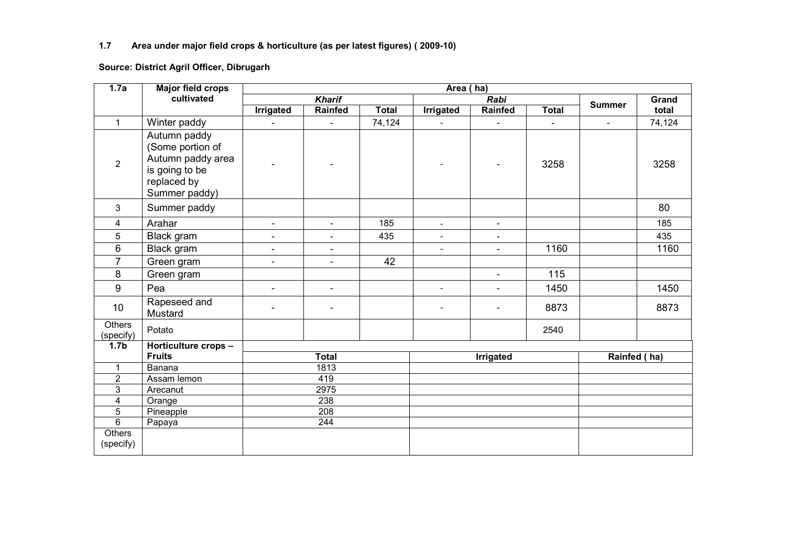#### 1.7 Area under major field crops & horticulture (as per latest figures) ( 2009-10)

#### Source: District Agril Officer, Dibrugarh

| 1.7a                    | <b>Major field crops</b>                                                                                | Area (ha)                |                          |              |                          |                          |                |                          |        |
|-------------------------|---------------------------------------------------------------------------------------------------------|--------------------------|--------------------------|--------------|--------------------------|--------------------------|----------------|--------------------------|--------|
|                         | cultivated                                                                                              |                          | <b>Kharif</b>            |              |                          | Rabi                     |                | <b>Summer</b>            | Grand  |
|                         |                                                                                                         | <b>Irrigated</b>         | <b>Rainfed</b>           | <b>Total</b> | <b>Irrigated</b>         | Rainfed                  | <b>Total</b>   |                          | total  |
| $\mathbf{1}$            | Winter paddy                                                                                            | $\blacksquare$           | $\blacksquare$           | 74,124       | $\overline{\phantom{a}}$ | $\overline{a}$           | $\blacksquare$ | $\overline{\phantom{a}}$ | 74,124 |
| $\overline{2}$          | Autumn paddy<br>(Some portion of<br>Autumn paddy area<br>is going to be<br>replaced by<br>Summer paddy) |                          |                          |              |                          |                          | 3258           |                          | 3258   |
| 3                       | Summer paddy                                                                                            |                          |                          |              |                          |                          |                |                          | 80     |
| 4                       | Arahar                                                                                                  | $\overline{\phantom{a}}$ | $\overline{\phantom{a}}$ | 185          | $\omega$                 | $\overline{\phantom{a}}$ |                |                          | 185    |
| 5                       | Black gram                                                                                              | $\blacksquare$           |                          | 435          | $\blacksquare$           | $\blacksquare$           |                |                          | 435    |
| 6                       | Black gram                                                                                              | $\overline{\phantom{a}}$ | $\overline{\phantom{a}}$ |              | $\overline{\phantom{a}}$ | $\overline{a}$           | 1160           |                          | 1160   |
| $\overline{7}$          | Green gram                                                                                              | $\overline{\phantom{a}}$ | $\blacksquare$           | 42           |                          |                          |                |                          |        |
| 8                       | Green gram                                                                                              |                          |                          |              |                          | $\overline{\phantom{a}}$ | 115            |                          |        |
| 9                       | Pea                                                                                                     | $\overline{\phantom{a}}$ | $\blacksquare$           |              | L.                       | $\overline{\phantom{a}}$ | 1450           |                          | 1450   |
| 10                      | Rapeseed and<br>Mustard                                                                                 | $\overline{\phantom{a}}$ | $\blacksquare$           |              | $\blacksquare$           |                          | 8873           |                          | 8873   |
| Others<br>(specify)     | Potato                                                                                                  |                          |                          |              |                          |                          | 2540           |                          |        |
| 1.7 <sub>b</sub>        | Horticulture crops -                                                                                    |                          |                          |              |                          |                          |                |                          |        |
|                         | <b>Fruits</b>                                                                                           |                          | <b>Total</b>             |              |                          | Irrigated                |                | Rainfed (ha)             |        |
| $\mathbf{1}$            | Banana                                                                                                  |                          | 1813                     |              |                          |                          |                |                          |        |
| $\overline{2}$          | Assam lemon                                                                                             |                          | 419                      |              |                          |                          |                |                          |        |
| 3                       | Arecanut                                                                                                | 2975                     |                          |              |                          |                          |                |                          |        |
| $\overline{\mathbf{4}}$ | Orange                                                                                                  | 238                      |                          |              |                          |                          |                |                          |        |
| 5                       | Pineapple                                                                                               | 208                      |                          |              |                          |                          |                |                          |        |
| $\overline{6}$          | Papaya                                                                                                  |                          | 244                      |              |                          |                          |                |                          |        |
| Others<br>(specify)     |                                                                                                         |                          |                          |              |                          |                          |                |                          |        |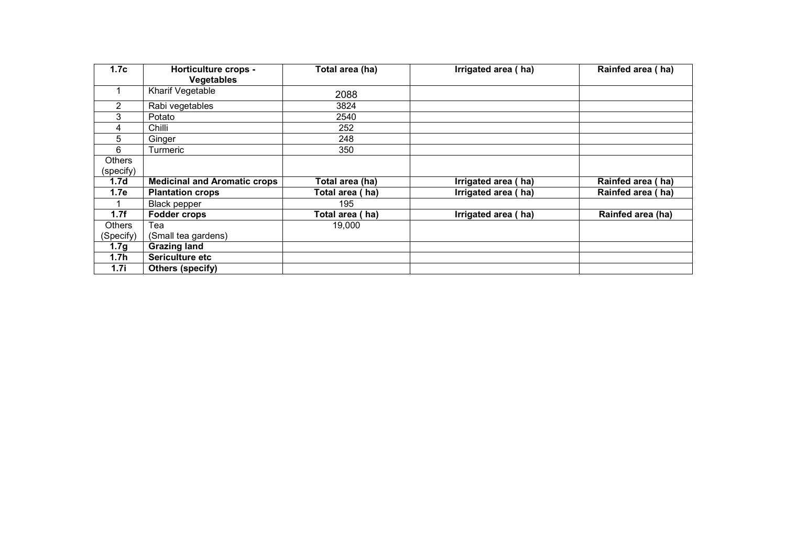| 1.7c             | <b>Horticulture crops -</b>         | Total area (ha) | Irrigated area (ha) | Rainfed area (ha) |
|------------------|-------------------------------------|-----------------|---------------------|-------------------|
|                  | <b>Vegetables</b>                   |                 |                     |                   |
|                  | Kharif Vegetable                    | 2088            |                     |                   |
| 2                | Rabi vegetables                     | 3824            |                     |                   |
| 3                | Potato                              | 2540            |                     |                   |
| 4                | Chilli                              | 252             |                     |                   |
| 5                | Ginger                              | 248             |                     |                   |
| 6                | Turmeric                            | 350             |                     |                   |
| <b>Others</b>    |                                     |                 |                     |                   |
| (specify)        |                                     |                 |                     |                   |
| 1.7 <sub>d</sub> | <b>Medicinal and Aromatic crops</b> | Total area (ha) | Irrigated area (ha) | Rainfed area (ha) |
| 1.7e             | <b>Plantation crops</b>             | Total area (ha) | Irrigated area (ha) | Rainfed area (ha) |
|                  | <b>Black pepper</b>                 | 195             |                     |                   |
| 1.7f             | <b>Fodder crops</b>                 | Total area (ha) | Irrigated area (ha) | Rainfed area (ha) |
| Others           | Tea                                 | 19,000          |                     |                   |
| (Specify)        | (Small tea gardens)                 |                 |                     |                   |
| 1.7 <sub>g</sub> | <b>Grazing land</b>                 |                 |                     |                   |
| 1.7 <sub>h</sub> | Sericulture etc                     |                 |                     |                   |
| 1.7i             | Others (specify)                    |                 |                     |                   |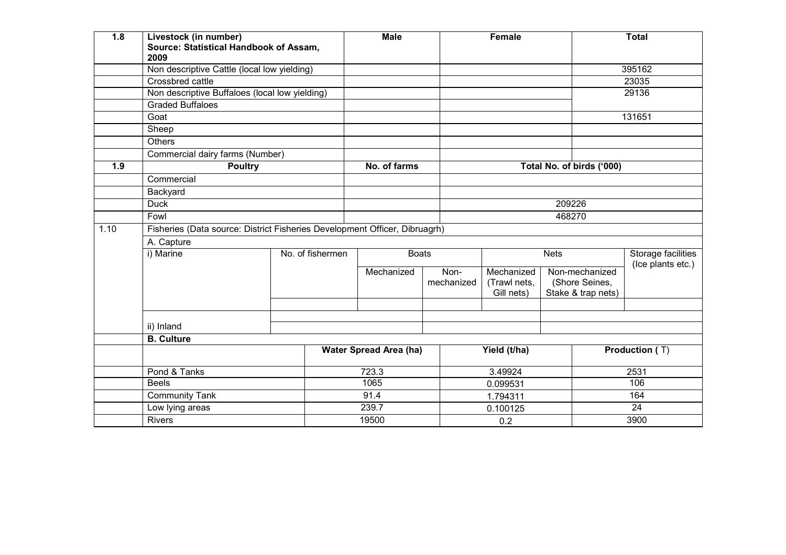| 1.8  | Livestock (in number)<br>Source: Statistical Handbook of Assam,<br>2009    |  |                  | <b>Male</b>                   |      |                                  | <b>Female</b> |                  |                           | <b>Total</b>          |
|------|----------------------------------------------------------------------------|--|------------------|-------------------------------|------|----------------------------------|---------------|------------------|---------------------------|-----------------------|
|      | Non descriptive Cattle (local low yielding)                                |  |                  |                               |      |                                  |               |                  |                           | 395162                |
|      | Crossbred cattle                                                           |  |                  |                               |      |                                  |               |                  |                           | 23035                 |
|      | Non descriptive Buffaloes (local low yielding)<br><b>Graded Buffaloes</b>  |  |                  |                               |      |                                  |               |                  |                           | 29136                 |
|      |                                                                            |  |                  |                               |      |                                  |               |                  |                           |                       |
|      | Goat                                                                       |  |                  |                               |      |                                  |               |                  |                           | 131651                |
|      | Sheep                                                                      |  |                  |                               |      |                                  |               |                  |                           |                       |
|      | <b>Others</b>                                                              |  |                  |                               |      |                                  |               |                  |                           |                       |
|      | Commercial dairy farms (Number)                                            |  |                  |                               |      |                                  |               |                  |                           |                       |
| 1.9  | <b>Poultry</b>                                                             |  |                  | No. of farms                  |      |                                  |               |                  | Total No. of birds ('000) |                       |
|      | Commercial                                                                 |  |                  |                               |      |                                  |               |                  |                           |                       |
|      | Backyard                                                                   |  |                  |                               |      |                                  |               |                  |                           |                       |
|      | <b>Duck</b>                                                                |  |                  |                               |      |                                  |               | 209226           |                           |                       |
|      | Fowl                                                                       |  |                  |                               |      |                                  |               | 468270           |                           |                       |
| 1.10 | Fisheries (Data source: District Fisheries Development Officer, Dibruagrh) |  |                  |                               |      |                                  |               |                  |                           |                       |
|      | A. Capture                                                                 |  |                  |                               |      |                                  |               |                  |                           |                       |
|      | i) Marine                                                                  |  | No. of fishermen | <b>Boats</b>                  |      |                                  |               | <b>Nets</b>      |                           | Storage facilities    |
|      |                                                                            |  |                  | Mechanized                    | Non- |                                  | Mechanized    | Non-mechanized   |                           | (Ice plants etc.)     |
|      |                                                                            |  |                  |                               |      | mechanized                       | (Trawl nets,  |                  | (Shore Seines,            |                       |
|      |                                                                            |  |                  |                               |      |                                  | Gill nets)    |                  | Stake & trap nets)        |                       |
|      |                                                                            |  |                  |                               |      |                                  |               |                  |                           |                       |
|      |                                                                            |  |                  |                               |      |                                  |               |                  |                           |                       |
|      | ii) Inland                                                                 |  |                  |                               |      |                                  |               |                  |                           |                       |
|      | <b>B.</b> Culture                                                          |  |                  |                               |      |                                  |               |                  |                           |                       |
|      |                                                                            |  |                  | <b>Water Spread Area (ha)</b> |      |                                  | Yield (t/ha)  |                  |                           | <b>Production (T)</b> |
|      | Pond & Tanks                                                               |  |                  | 723.3                         |      |                                  | 3.49924       |                  |                           | 2531                  |
|      | <b>Beels</b>                                                               |  |                  | 1065                          |      | 0.099531<br>1.794311<br>0.100125 |               | 106<br>164<br>24 |                           |                       |
|      | <b>Community Tank</b>                                                      |  |                  | 91.4                          |      |                                  |               |                  |                           |                       |
|      | Low lying areas                                                            |  |                  | 239.7                         |      |                                  |               |                  |                           |                       |
|      | <b>Rivers</b>                                                              |  |                  | 19500                         |      | 0.2                              |               |                  | 3900                      |                       |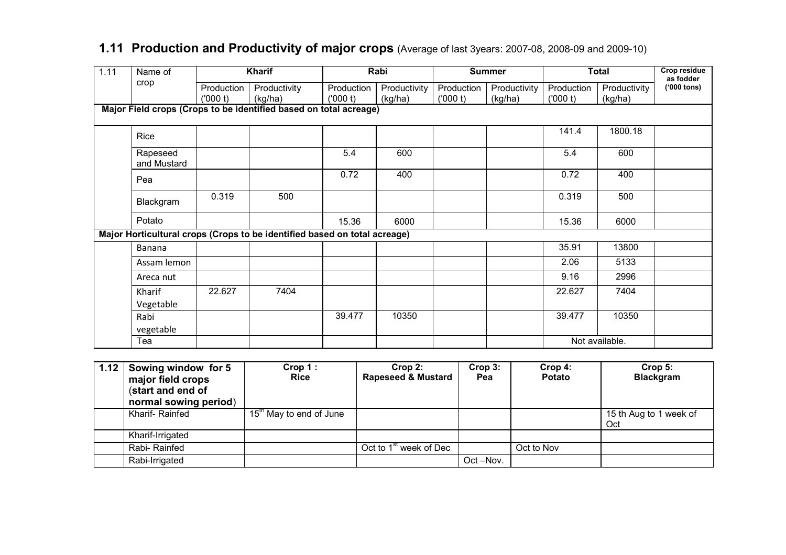| 1.11 | Name of                                                           | <b>Kharif</b> |                                                                           |            | Rabi         |            | <b>Summer</b> |            | <b>Total</b>   | <b>Crop residue</b><br>as fodder |
|------|-------------------------------------------------------------------|---------------|---------------------------------------------------------------------------|------------|--------------|------------|---------------|------------|----------------|----------------------------------|
|      | crop                                                              | Production    | Productivity                                                              | Production | Productivity | Production | Productivity  | Production | Productivity   | $(900$ tons)                     |
|      |                                                                   | (000 t)       | (kg/ha)                                                                   | (000 t)    | (kg/ha)      | (000 t)    | (kg/ha)       | (000 t)    | (kg/ha)        |                                  |
|      | Major Field crops (Crops to be identified based on total acreage) |               |                                                                           |            |              |            |               |            |                |                                  |
|      | Rice                                                              |               |                                                                           |            |              |            |               | 141.4      | 1800.18        |                                  |
|      | Rapeseed<br>and Mustard                                           |               |                                                                           | 5.4        | 600          |            |               | 5.4        | 600            |                                  |
|      | Pea                                                               |               |                                                                           | 0.72       | 400          |            |               | 0.72       | 400            |                                  |
|      | Blackgram                                                         | 0.319         | 500                                                                       |            |              |            |               | 0.319      | 500            |                                  |
|      | Potato                                                            |               |                                                                           | 15.36      | 6000         |            |               | 15.36      | 6000           |                                  |
|      |                                                                   |               | Major Horticultural crops (Crops to be identified based on total acreage) |            |              |            |               |            |                |                                  |
|      | Banana                                                            |               |                                                                           |            |              |            |               | 35.91      | 13800          |                                  |
|      | Assam lemon                                                       |               |                                                                           |            |              |            |               | 2.06       | 5133           |                                  |
|      | Areca nut                                                         |               |                                                                           |            |              |            |               | 9.16       | 2996           |                                  |
|      | Kharif                                                            | 22.627        | 7404                                                                      |            |              |            |               | 22.627     | 7404           |                                  |
|      | Vegetable                                                         |               |                                                                           |            |              |            |               |            |                |                                  |
|      | Rabi                                                              |               |                                                                           | 39.477     | 10350        |            |               | 39.477     | 10350          |                                  |
|      | vegetable                                                         |               |                                                                           |            |              |            |               |            |                |                                  |
|      | Tea                                                               |               |                                                                           |            |              |            |               |            | Not available. |                                  |

#### **1.11 Production and Productivity of major crops** (Average of last 3years: 2007-08, 2008-09 and 2009-10)

| 1.12 | Sowing window for 5<br>major field crops<br>(start and end of<br>normal sowing period) | Crop 1:<br><b>Rice</b>              | $Crop 2$ :<br><b>Rapeseed &amp; Mustard</b> | $Crop3$ :<br>Pea | $Crop4$ :<br><b>Potato</b> | Crop 5:<br><b>Blackgram</b>   |
|------|----------------------------------------------------------------------------------------|-------------------------------------|---------------------------------------------|------------------|----------------------------|-------------------------------|
|      | Kharif-Rainfed                                                                         | 15 <sup>th</sup> May to end of June |                                             |                  |                            | 15 th Aug to 1 week of<br>Oct |
|      | Kharif-Irrigated                                                                       |                                     |                                             |                  |                            |                               |
|      | Rabi- Rainfed                                                                          |                                     | Oct to 1 <sup>st</sup> week of Dec          |                  | Oct to Nov                 |                               |
|      | Rabi-Irrigated                                                                         |                                     |                                             | Oct -Nov.        |                            |                               |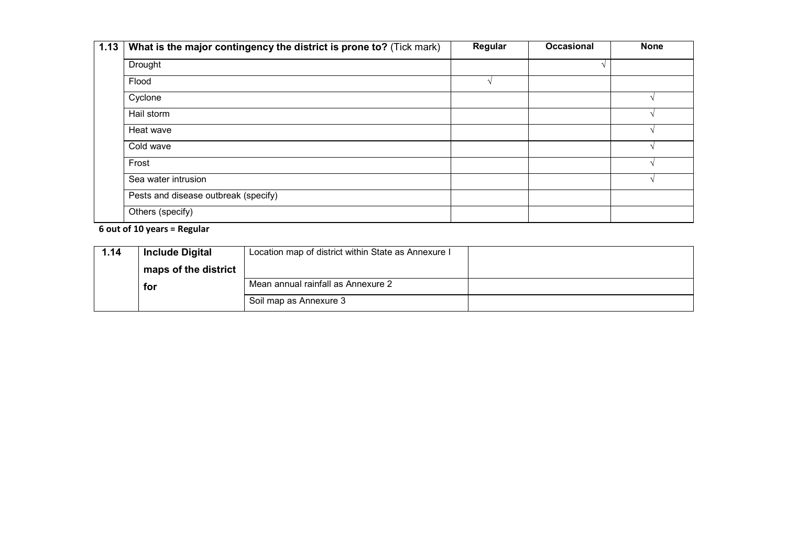| 1.13 | What is the major contingency the district is prone to? (Tick mark) | Regular | <b>Occasional</b> | <b>None</b> |
|------|---------------------------------------------------------------------|---------|-------------------|-------------|
|      | Drought                                                             |         |                   |             |
|      | Flood                                                               |         |                   |             |
|      | Cyclone                                                             |         |                   |             |
|      | Hail storm                                                          |         |                   |             |
|      | Heat wave                                                           |         |                   |             |
|      | Cold wave                                                           |         |                   |             |
|      | Frost                                                               |         |                   |             |
|      | Sea water intrusion                                                 |         |                   |             |
|      | Pests and disease outbreak (specify)                                |         |                   |             |
|      | Others (specify)                                                    |         |                   |             |

6 out of 10 years = Regular

| 1.14 | <b>Include Digital</b> | Location map of district within State as Annexure I |  |
|------|------------------------|-----------------------------------------------------|--|
|      | maps of the district   |                                                     |  |
|      | for                    | Mean annual rainfall as Annexure 2                  |  |
|      |                        | Soil map as Annexure 3                              |  |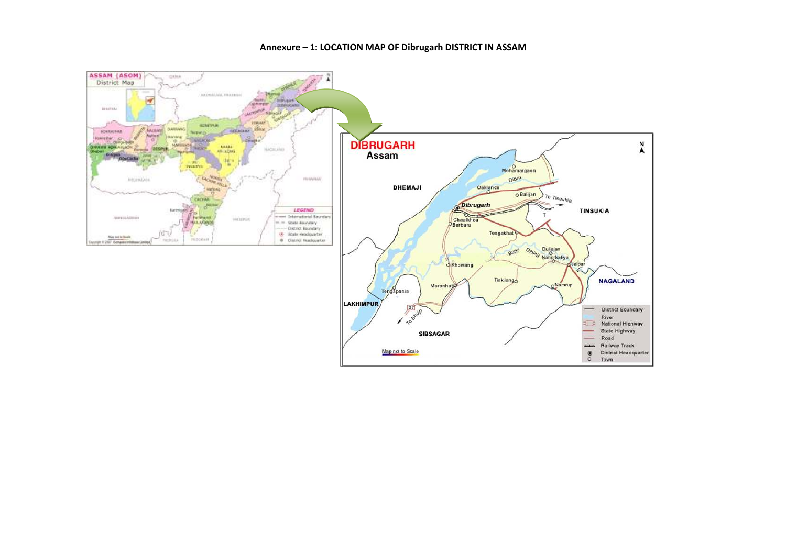#### Annexure – 1: LOCATION MAP OF Dibrugarh DISTRICT IN ASSAM



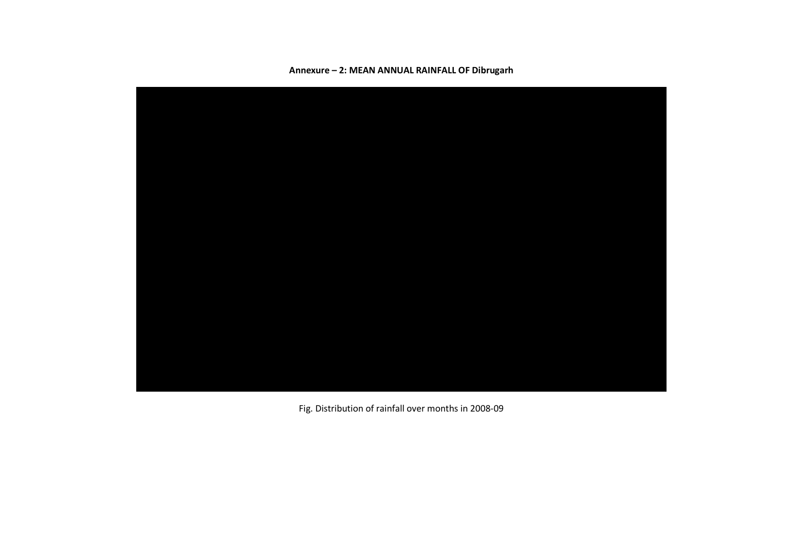

Annexure – 2: MEAN ANNUAL RAINFALL OF Dibrugarh

Fig. Distribution of rainfall over months in 2008-09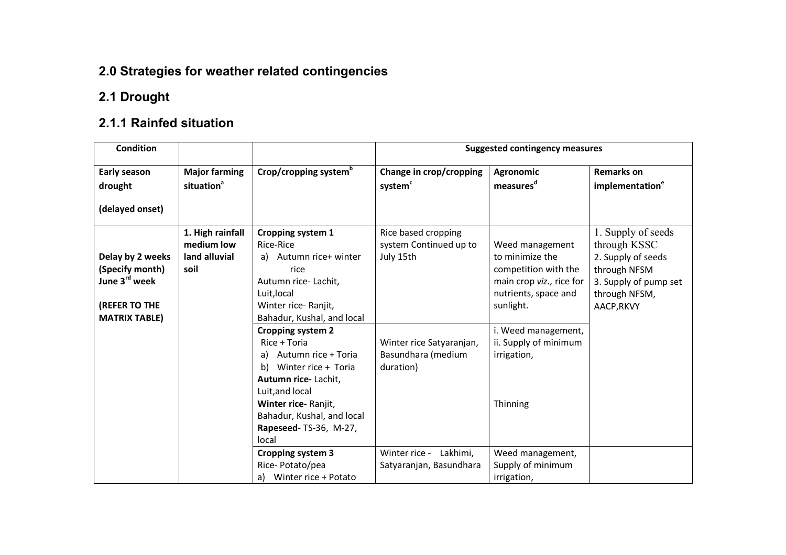### 2.0 Strategies for weather related contingencies

### 2.1 Drought

#### 2.1.1 Rainfed situation

| <b>Condition</b>                                                                                          |                                                         |                                                                                                                                                                                                                                     | <b>Suggested contingency measures</b>                       |                                                                                                                             |                                                                                                                                  |  |
|-----------------------------------------------------------------------------------------------------------|---------------------------------------------------------|-------------------------------------------------------------------------------------------------------------------------------------------------------------------------------------------------------------------------------------|-------------------------------------------------------------|-----------------------------------------------------------------------------------------------------------------------------|----------------------------------------------------------------------------------------------------------------------------------|--|
| Early season<br>drought<br>(delayed onset)                                                                | <b>Major farming</b><br>situation <sup>a</sup>          | Crop/cropping system <sup>b</sup>                                                                                                                                                                                                   | Change in crop/cropping<br>system <sup>c</sup>              | <b>Agronomic</b><br>measures <sup>d</sup>                                                                                   | <b>Remarks on</b><br>implementation <sup>e</sup>                                                                                 |  |
| Delay by 2 weeks<br>(Specify month)<br>June 3 <sup>rd</sup> week<br>(REFER TO THE<br><b>MATRIX TABLE)</b> | 1. High rainfall<br>medium low<br>land alluvial<br>soil | Cropping system 1<br>Rice-Rice<br>a) Autumn rice+ winter<br>rice<br>Autumn rice-Lachit,<br>Luit, local<br>Winter rice-Ranjit,<br>Bahadur, Kushal, and local                                                                         | Rice based cropping<br>system Continued up to<br>July 15th  | Weed management<br>to minimize the<br>competition with the<br>main crop viz., rice for<br>nutrients, space and<br>sunlight. | 1. Supply of seeds<br>through KSSC<br>2. Supply of seeds<br>through NFSM<br>3. Supply of pump set<br>through NFSM,<br>AACP, RKVY |  |
|                                                                                                           |                                                         | <b>Cropping system 2</b><br>Rice + Toria<br>Autumn rice + Toria<br>a)<br>b)<br>Winter rice + Toria<br>Autumn rice-Lachit,<br>Luit, and local<br>Winter rice-Ranjit,<br>Bahadur, Kushal, and local<br>Rapeseed-TS-36, M-27,<br>local | Winter rice Satyaranjan,<br>Basundhara (medium<br>duration) | i. Weed management,<br>ii. Supply of minimum<br>irrigation,<br>Thinning                                                     |                                                                                                                                  |  |
|                                                                                                           |                                                         | <b>Cropping system 3</b><br>Rice-Potato/pea<br>a) Winter rice + Potato                                                                                                                                                              | Winter rice -<br>Lakhimi,<br>Satyaranjan, Basundhara        | Weed management,<br>Supply of minimum<br>irrigation,                                                                        |                                                                                                                                  |  |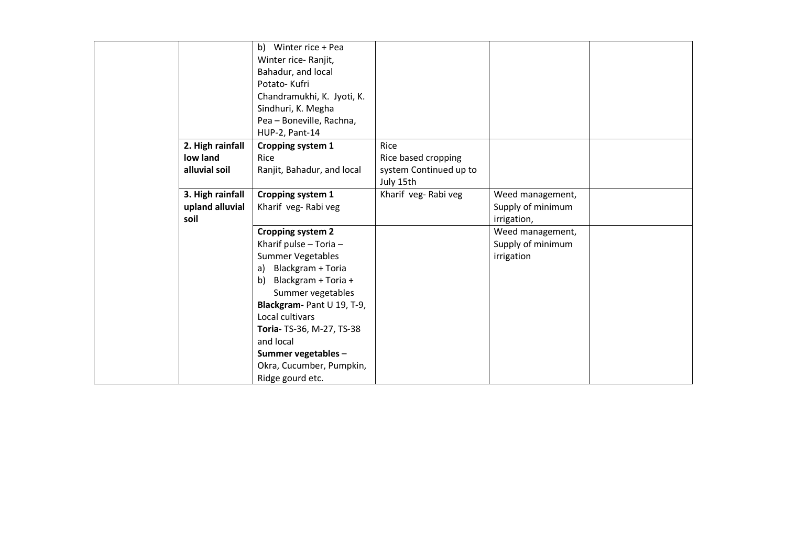|                  | b) Winter rice + Pea       |                        |                   |  |
|------------------|----------------------------|------------------------|-------------------|--|
|                  | Winter rice-Ranjit,        |                        |                   |  |
|                  | Bahadur, and local         |                        |                   |  |
|                  | Potato-Kufri               |                        |                   |  |
|                  | Chandramukhi, K. Jyoti, K. |                        |                   |  |
|                  | Sindhuri, K. Megha         |                        |                   |  |
|                  | Pea - Boneville, Rachna,   |                        |                   |  |
|                  | HUP-2, Pant-14             |                        |                   |  |
| 2. High rainfall | Cropping system 1          | Rice                   |                   |  |
| low land         | Rice                       | Rice based cropping    |                   |  |
| alluvial soil    | Ranjit, Bahadur, and local | system Continued up to |                   |  |
|                  |                            | July 15th              |                   |  |
| 3. High rainfall | Cropping system 1          | Kharif veg-Rabi veg    | Weed management,  |  |
| upland alluvial  | Kharif veg-Rabi veg        |                        | Supply of minimum |  |
| soil             |                            |                        | irrigation,       |  |
|                  | <b>Cropping system 2</b>   |                        | Weed management,  |  |
|                  | Kharif pulse - Toria -     |                        | Supply of minimum |  |
|                  | Summer Vegetables          |                        | irrigation        |  |
|                  | Blackgram + Toria<br>a)    |                        |                   |  |
|                  | Blackgram + Toria +<br>b)  |                        |                   |  |
|                  | Summer vegetables          |                        |                   |  |
|                  | Blackgram- Pant U 19, T-9, |                        |                   |  |
|                  | Local cultivars            |                        |                   |  |
|                  | Toria- TS-36, M-27, TS-38  |                        |                   |  |
|                  | and local                  |                        |                   |  |
|                  | Summer vegetables -        |                        |                   |  |
|                  | Okra, Cucumber, Pumpkin,   |                        |                   |  |
|                  | Ridge gourd etc.           |                        |                   |  |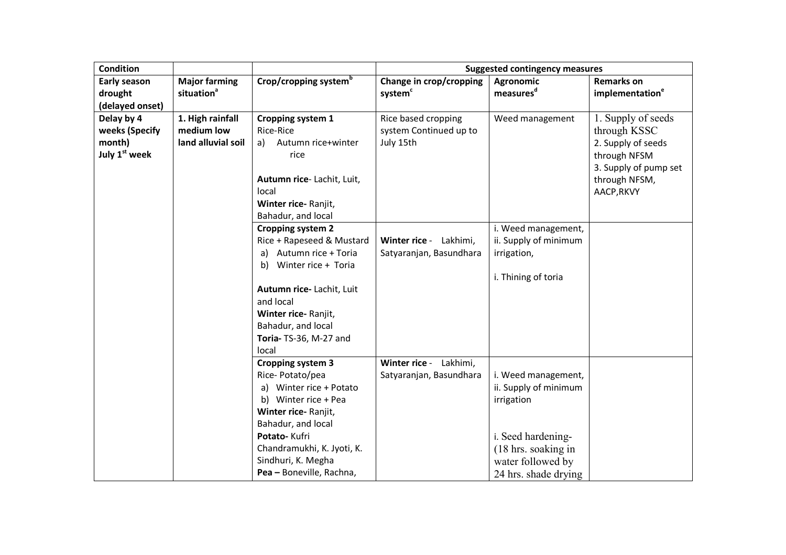| <b>Condition</b>          |                        | <b>Suggested contingency measures</b>  |                         |                       |                             |
|---------------------------|------------------------|----------------------------------------|-------------------------|-----------------------|-----------------------------|
| <b>Early season</b>       | <b>Major farming</b>   | Crop/cropping system <sup>b</sup>      | Change in crop/cropping | <b>Agronomic</b>      | <b>Remarks on</b>           |
| drought                   | situation <sup>a</sup> |                                        | system <sup>c</sup>     | measures <sup>d</sup> | implementation <sup>e</sup> |
| (delayed onset)           |                        |                                        |                         |                       |                             |
| Delay by 4                | 1. High rainfall       | Cropping system 1                      | Rice based cropping     | Weed management       | 1. Supply of seeds          |
| weeks (Specify            | medium low             | Rice-Rice                              | system Continued up to  |                       | through KSSC                |
| month)                    | land alluvial soil     | Autumn rice+winter<br>a)               | July 15th               |                       | 2. Supply of seeds          |
| July 1 <sup>st</sup> week |                        | rice                                   |                         |                       | through NFSM                |
|                           |                        |                                        |                         |                       | 3. Supply of pump set       |
|                           |                        | Autumn rice-Lachit, Luit,              |                         |                       | through NFSM,               |
|                           |                        | local                                  |                         |                       | AACP, RKVY                  |
|                           |                        | Winter rice-Ranjit,                    |                         |                       |                             |
|                           |                        | Bahadur, and local                     |                         |                       |                             |
|                           |                        | <b>Cropping system 2</b>               |                         | i. Weed management,   |                             |
|                           |                        | Rice + Rapeseed & Mustard              | Winter rice - Lakhimi,  | ii. Supply of minimum |                             |
|                           |                        | Autumn rice + Toria<br>a)              | Satyaranjan, Basundhara | irrigation,           |                             |
|                           |                        | Winter rice + Toria<br>b)              |                         |                       |                             |
|                           |                        |                                        |                         | i. Thining of toria   |                             |
|                           |                        | Autumn rice- Lachit, Luit<br>and local |                         |                       |                             |
|                           |                        | Winter rice-Ranjit,                    |                         |                       |                             |
|                           |                        | Bahadur, and local                     |                         |                       |                             |
|                           |                        | Toria- TS-36, M-27 and                 |                         |                       |                             |
|                           |                        | local                                  |                         |                       |                             |
|                           |                        | <b>Cropping system 3</b>               | Winter rice - Lakhimi,  |                       |                             |
|                           |                        | Rice-Potato/pea                        | Satyaranjan, Basundhara | i. Weed management,   |                             |
|                           |                        | a) Winter rice + Potato                |                         | ii. Supply of minimum |                             |
|                           |                        | b) Winter rice + Pea                   |                         | irrigation            |                             |
|                           |                        | Winter rice-Ranjit,                    |                         |                       |                             |
|                           |                        | Bahadur, and local                     |                         |                       |                             |
|                           |                        | Potato-Kufri                           |                         | i. Seed hardening-    |                             |
|                           |                        | Chandramukhi, K. Jyoti, K.             |                         | (18 hrs. soaking in   |                             |
|                           |                        | Sindhuri, K. Megha                     |                         | water followed by     |                             |
|                           |                        | Pea - Boneville, Rachna,               |                         | 24 hrs. shade drying  |                             |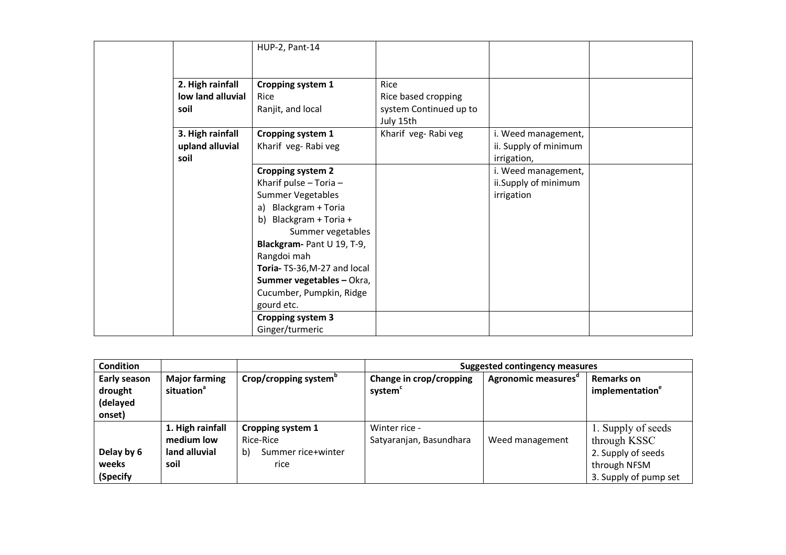|                   | HUP-2, Pant-14              |                                     |                       |  |
|-------------------|-----------------------------|-------------------------------------|-----------------------|--|
|                   |                             |                                     |                       |  |
|                   |                             |                                     |                       |  |
| 2. High rainfall  | Cropping system 1           | Rice                                |                       |  |
| low land alluvial | Rice                        | Rice based cropping                 |                       |  |
| soil              | Ranjit, and local           | system Continued up to<br>July 15th |                       |  |
| 3. High rainfall  | Cropping system 1           | Kharif veg-Rabi veg                 | i. Weed management,   |  |
| upland alluvial   | Kharif veg-Rabi veg         |                                     | ii. Supply of minimum |  |
| soil              |                             |                                     | irrigation,           |  |
|                   | <b>Cropping system 2</b>    |                                     | i. Weed management,   |  |
|                   | Kharif pulse $-$ Toria $-$  |                                     | ii.Supply of minimum  |  |
|                   | <b>Summer Vegetables</b>    |                                     | irrigation            |  |
|                   | a) Blackgram + Toria        |                                     |                       |  |
|                   | b) Blackgram + Toria +      |                                     |                       |  |
|                   | Summer vegetables           |                                     |                       |  |
|                   | Blackgram- Pant U 19, T-9,  |                                     |                       |  |
|                   | Rangdoi mah                 |                                     |                       |  |
|                   | Toria-TS-36, M-27 and local |                                     |                       |  |
|                   | Summer vegetables - Okra,   |                                     |                       |  |
|                   | Cucumber, Pumpkin, Ridge    |                                     |                       |  |
|                   | gourd etc.                  |                                     |                       |  |
|                   | Cropping system 3           |                                     |                       |  |
|                   | Ginger/turmeric             |                                     |                       |  |

| <b>Condition</b>                              |                                                |                                   | <b>Suggested contingency measures</b>          |                                 |                                                  |  |
|-----------------------------------------------|------------------------------------------------|-----------------------------------|------------------------------------------------|---------------------------------|--------------------------------------------------|--|
| Early season<br>drought<br>(delayed<br>onset) | <b>Major farming</b><br>situation <sup>a</sup> | Crop/cropping system <sup>b</sup> | Change in crop/cropping<br>system <sup>c</sup> | Agronomic measures <sup>d</sup> | <b>Remarks on</b><br>implementation <sup>e</sup> |  |
|                                               | 1. High rainfall                               | Cropping system 1                 | Winter rice -                                  |                                 | 1. Supply of seeds                               |  |
|                                               | medium low                                     | Rice-Rice                         | Satyaranjan, Basundhara                        | Weed management                 | through KSSC                                     |  |
| Delay by 6                                    | land alluvial                                  | Summer rice+winter<br>b)          |                                                |                                 | 2. Supply of seeds                               |  |
| weeks                                         | soil                                           | rice                              |                                                |                                 | through NFSM                                     |  |
| (Specify                                      |                                                |                                   |                                                |                                 | 3. Supply of pump set                            |  |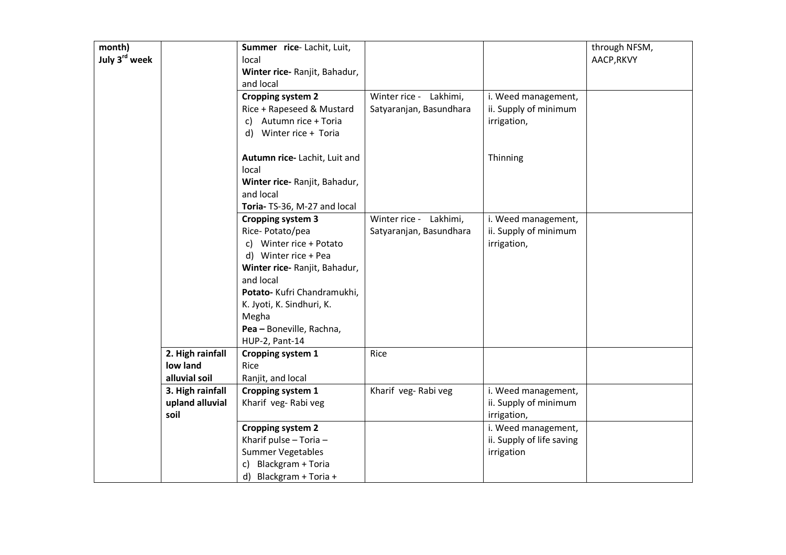| month)<br>July 3rd week |                                               | Summer rice-Lachit, Luit,<br>local<br>Winter rice- Ranjit, Bahadur,<br>and local                                                                                                                                                                                |                                                   |                                                                | through NFSM,<br>AACP, RKVY |
|-------------------------|-----------------------------------------------|-----------------------------------------------------------------------------------------------------------------------------------------------------------------------------------------------------------------------------------------------------------------|---------------------------------------------------|----------------------------------------------------------------|-----------------------------|
|                         |                                               | <b>Cropping system 2</b><br>Rice + Rapeseed & Mustard<br>c) Autumn rice + Toria<br>d) Winter rice + Toria                                                                                                                                                       | Winter rice - Lakhimi,<br>Satyaranjan, Basundhara | i. Weed management,<br>ii. Supply of minimum<br>irrigation,    |                             |
|                         |                                               | Autumn rice-Lachit, Luit and<br>local<br>Winter rice- Ranjit, Bahadur,<br>and local<br>Toria- TS-36, M-27 and local                                                                                                                                             |                                                   | Thinning                                                       |                             |
|                         |                                               | <b>Cropping system 3</b><br>Rice-Potato/pea<br>c) Winter rice + Potato<br>d) Winter rice + Pea<br>Winter rice- Ranjit, Bahadur,<br>and local<br>Potato- Kufri Chandramukhi,<br>K. Jyoti, K. Sindhuri, K.<br>Megha<br>Pea - Boneville, Rachna,<br>HUP-2, Pant-14 | Winter rice - Lakhimi,<br>Satyaranjan, Basundhara | i. Weed management,<br>ii. Supply of minimum<br>irrigation,    |                             |
|                         | 2. High rainfall<br>low land<br>alluvial soil | Cropping system 1<br>Rice<br>Ranjit, and local                                                                                                                                                                                                                  | Rice                                              |                                                                |                             |
|                         | 3. High rainfall<br>upland alluvial<br>soil   | Cropping system 1<br>Kharif veg-Rabi veg                                                                                                                                                                                                                        | Kharif veg-Rabi veg                               | i. Weed management,<br>ii. Supply of minimum<br>irrigation,    |                             |
|                         |                                               | <b>Cropping system 2</b><br>Kharif pulse - Toria -<br>Summer Vegetables<br>Blackgram + Toria<br>C)<br>d) Blackgram + Toria +                                                                                                                                    |                                                   | i. Weed management,<br>ii. Supply of life saving<br>irrigation |                             |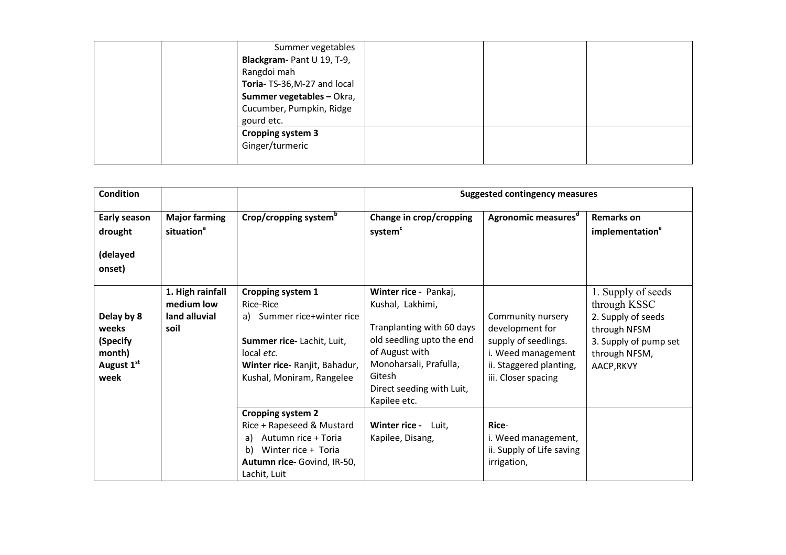| Summer vegetables           |  |  |
|-----------------------------|--|--|
| Blackgram- Pant U 19, T-9,  |  |  |
| Rangdoi mah                 |  |  |
| Toria-TS-36, M-27 and local |  |  |
| Summer vegetables - Okra,   |  |  |
| Cucumber, Pumpkin, Ridge    |  |  |
| gourd etc.                  |  |  |
| <b>Cropping system 3</b>    |  |  |
| Ginger/turmeric             |  |  |
|                             |  |  |

| <b>Condition</b>                                                |                                                         |                                                                                                                                                                              | <b>Suggested contingency measures</b>                                                                                                                                                                  |                                                                                                                                      |                                                                                                                                  |  |
|-----------------------------------------------------------------|---------------------------------------------------------|------------------------------------------------------------------------------------------------------------------------------------------------------------------------------|--------------------------------------------------------------------------------------------------------------------------------------------------------------------------------------------------------|--------------------------------------------------------------------------------------------------------------------------------------|----------------------------------------------------------------------------------------------------------------------------------|--|
| Early season<br>drought<br>(delayed<br>onset)                   | <b>Major farming</b><br>situation <sup>a</sup>          | Crop/cropping system <sup>b</sup>                                                                                                                                            | Change in crop/cropping<br>system <sup>c</sup>                                                                                                                                                         | Agronomic measures <sup>d</sup>                                                                                                      | <b>Remarks on</b><br>implementation <sup>e</sup>                                                                                 |  |
| Delay by 8<br>weeks<br>(Specify<br>month)<br>August 1st<br>week | 1. High rainfall<br>medium low<br>land alluvial<br>soil | <b>Cropping system 1</b><br>Rice-Rice<br>a) Summer rice+winter rice<br>Summer rice-Lachit, Luit,<br>local etc.<br>Winter rice- Ranjit, Bahadur,<br>Kushal, Moniram, Rangelee | Winter rice - Pankaj,<br>Kushal, Lakhimi,<br>Tranplanting with 60 days<br>old seedling upto the end<br>of August with<br>Monoharsali, Prafulla,<br>Gitesh<br>Direct seeding with Luit,<br>Kapilee etc. | Community nursery<br>development for<br>supply of seedlings.<br>i. Weed management<br>ii. Staggered planting,<br>iii. Closer spacing | 1. Supply of seeds<br>through KSSC<br>2. Supply of seeds<br>through NFSM<br>3. Supply of pump set<br>through NFSM,<br>AACP, RKVY |  |
|                                                                 |                                                         | <b>Cropping system 2</b><br>Rice + Rapeseed & Mustard<br>Autumn rice + Toria<br>a)<br>Winter rice + Toria<br>b)<br>Autumn rice- Govind, IR-50,<br>Lachit, Luit               | Winter rice - Luit,<br>Kapilee, Disang,                                                                                                                                                                | Rice-<br>i. Weed management,<br>ii. Supply of Life saving<br>irrigation,                                                             |                                                                                                                                  |  |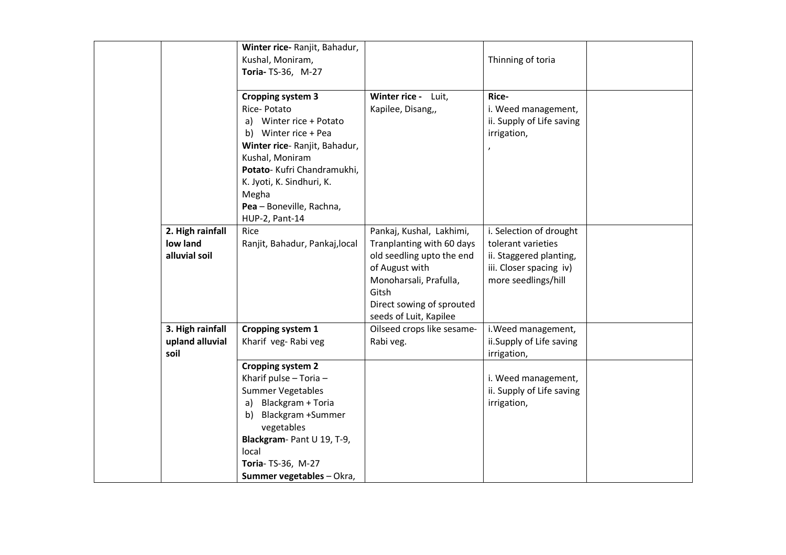|                  | Winter rice- Ranjit, Bahadur,  |                            |                           |  |
|------------------|--------------------------------|----------------------------|---------------------------|--|
|                  | Kushal, Moniram,               |                            | Thinning of toria         |  |
|                  | Toria- TS-36, M-27             |                            |                           |  |
|                  |                                |                            |                           |  |
|                  | <b>Cropping system 3</b>       | Winter rice - Luit,        | Rice-                     |  |
|                  | Rice-Potato                    | Kapilee, Disang,,          | i. Weed management,       |  |
|                  | a) Winter rice + Potato        |                            | ii. Supply of Life saving |  |
|                  | b) Winter rice + Pea           |                            | irrigation,               |  |
|                  | Winter rice- Ranjit, Bahadur,  |                            |                           |  |
|                  | Kushal, Moniram                |                            |                           |  |
|                  | Potato- Kufri Chandramukhi,    |                            |                           |  |
|                  | K. Jyoti, K. Sindhuri, K.      |                            |                           |  |
|                  | Megha                          |                            |                           |  |
|                  | Pea - Boneville, Rachna,       |                            |                           |  |
|                  | HUP-2, Pant-14                 |                            |                           |  |
| 2. High rainfall | Rice                           | Pankaj, Kushal, Lakhimi,   | i. Selection of drought   |  |
| low land         | Ranjit, Bahadur, Pankaj, local | Tranplanting with 60 days  | tolerant varieties        |  |
| alluvial soil    |                                | old seedling upto the end  | ii. Staggered planting,   |  |
|                  |                                | of August with             | iii. Closer spacing iv)   |  |
|                  |                                | Monoharsali, Prafulla,     | more seedlings/hill       |  |
|                  |                                | Gitsh                      |                           |  |
|                  |                                | Direct sowing of sprouted  |                           |  |
|                  |                                | seeds of Luit, Kapilee     |                           |  |
| 3. High rainfall | Cropping system 1              | Oilseed crops like sesame- | i. Weed management,       |  |
| upland alluvial  | Kharif veg-Rabi veg            | Rabi veg.                  | ii.Supply of Life saving  |  |
| soil             |                                |                            | irrigation,               |  |
|                  | <b>Cropping system 2</b>       |                            |                           |  |
|                  | Kharif pulse - Toria -         |                            | i. Weed management,       |  |
|                  | <b>Summer Vegetables</b>       |                            | ii. Supply of Life saving |  |
|                  | Blackgram + Toria<br>a)        |                            | irrigation,               |  |
|                  | Blackgram +Summer<br>b)        |                            |                           |  |
|                  | vegetables                     |                            |                           |  |
|                  | Blackgram- Pant U 19, T-9,     |                            |                           |  |
|                  | local                          |                            |                           |  |
|                  | Toria- TS-36, M-27             |                            |                           |  |
|                  | Summer vegetables - Okra,      |                            |                           |  |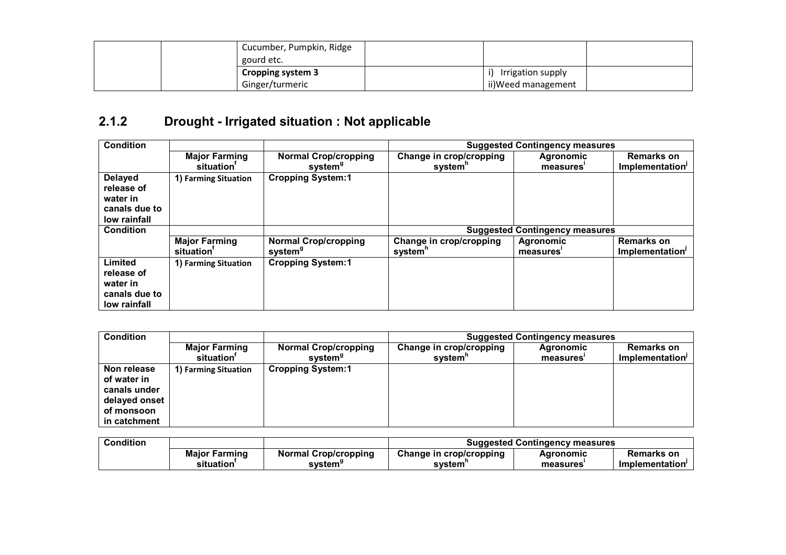| Cucumber, Pumpkin, Ridge |                    |  |
|--------------------------|--------------------|--|
| gourd etc.               |                    |  |
| <b>Cropping system 3</b> | Irrigation supply  |  |
| Ginger/turmeric          | ii)Weed management |  |

#### 2.1.2 Drought - Irrigated situation : Not applicable

| <b>Condition</b>                                                          |                        |                             |                         | <b>Suggested Contingency measures</b> |                   |
|---------------------------------------------------------------------------|------------------------|-----------------------------|-------------------------|---------------------------------------|-------------------|
|                                                                           | <b>Major Farming</b>   | <b>Normal Crop/cropping</b> | Change in crop/cropping | <b>Agronomic</b>                      | Remarks on        |
|                                                                           | situation <sup>'</sup> | system <sup>9</sup>         | system"                 | measures <sup>®</sup>                 | Implementation'   |
| <b>Delayed</b><br>release of<br>water in<br>canals due to<br>low rainfall | 1) Farming Situation   | <b>Cropping System:1</b>    |                         |                                       |                   |
| <b>Condition</b>                                                          |                        |                             |                         | <b>Suggested Contingency measures</b> |                   |
|                                                                           | <b>Major Farming</b>   | <b>Normal Crop/cropping</b> | Change in crop/cropping | <b>Agronomic</b>                      | <b>Remarks on</b> |
|                                                                           | situation              | system <sup>9</sup>         | system <sup>n</sup>     | measures <sup>®</sup>                 | Implementation'   |
| Limited<br>release of<br>water in<br>canals due to<br>low rainfall        | 1) Farming Situation   | <b>Cropping System:1</b>    |                         |                                       |                   |

| <b>Condition</b>                                                                          |                                    |                                                    | <b>Suggested Contingency measures</b>          |                        |                                      |  |
|-------------------------------------------------------------------------------------------|------------------------------------|----------------------------------------------------|------------------------------------------------|------------------------|--------------------------------------|--|
|                                                                                           | <b>Major Farming</b><br>situation' | <b>Normal Crop/cropping</b><br>svstem <sup>9</sup> | Change in crop/cropping<br>system <sup>'</sup> | Agronomic<br>measures' | <b>Remarks on</b><br>Implementation' |  |
| Non release<br>of water in<br>canals under<br>delayed onset<br>of monsoon<br>in catchment | 1) Farming Situation               | <b>Cropping System:1</b>                           |                                                |                        |                                      |  |

| <b>Condition</b> |                      |                             | <b>Suggested Contingency measures</b> |                       |                |
|------------------|----------------------|-----------------------------|---------------------------------------|-----------------------|----------------|
|                  | <b>Maior Farming</b> | <b>Normal Crop/cropping</b> | Change in crop/cropping               | Aqronomic             | Remarks on     |
|                  | situation            | system <sup>9</sup>         | svstem                                | measures <sup>®</sup> | Implementation |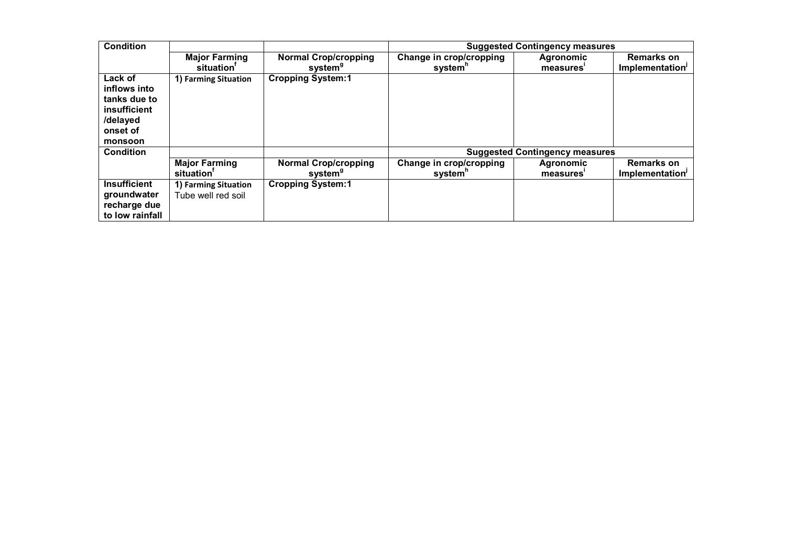| <b>Condition</b>    |                        |                             |                         | <b>Suggested Contingency measures</b> |                             |
|---------------------|------------------------|-----------------------------|-------------------------|---------------------------------------|-----------------------------|
|                     | <b>Major Farming</b>   | <b>Normal Crop/cropping</b> | Change in crop/cropping | Agronomic                             | <b>Remarks on</b>           |
|                     | situation <sup>'</sup> | system <sup>9</sup>         | system <sup>n</sup>     | measures <sup>®</sup>                 | Implementation <sup>1</sup> |
| Lack of             | 1) Farming Situation   | <b>Cropping System:1</b>    |                         |                                       |                             |
| inflows into        |                        |                             |                         |                                       |                             |
| tanks due to        |                        |                             |                         |                                       |                             |
| insufficient        |                        |                             |                         |                                       |                             |
| /delayed            |                        |                             |                         |                                       |                             |
| onset of            |                        |                             |                         |                                       |                             |
| monsoon             |                        |                             |                         |                                       |                             |
| <b>Condition</b>    |                        |                             |                         | <b>Suggested Contingency measures</b> |                             |
|                     | <b>Major Farming</b>   | <b>Normal Crop/cropping</b> | Change in crop/cropping | Agronomic                             | <b>Remarks on</b>           |
|                     | situation <sup>'</sup> | system <sup>9</sup>         | system <sup>n</sup>     | measures <sup>®</sup>                 | Implementation'             |
| <b>Insufficient</b> | 1) Farming Situation   | <b>Cropping System:1</b>    |                         |                                       |                             |
| groundwater         | Tube well red soil     |                             |                         |                                       |                             |
| recharge due        |                        |                             |                         |                                       |                             |
| to low rainfall     |                        |                             |                         |                                       |                             |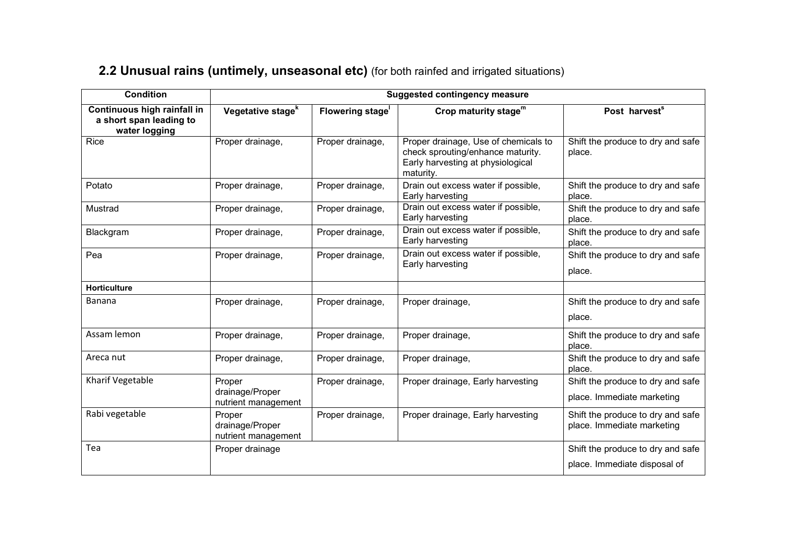#### **2.2 Unusual rains (untimely, unseasonal etc)** (for both rainfed and irrigated situations)

| <b>Condition</b>                                                        |                                                  |                         | <b>Suggested contingency measure</b>                                                                                        |                                                                 |
|-------------------------------------------------------------------------|--------------------------------------------------|-------------------------|-----------------------------------------------------------------------------------------------------------------------------|-----------------------------------------------------------------|
| Continuous high rainfall in<br>a short span leading to<br>water logging | Vegetative stage <sup>k</sup>                    | <b>Flowering stage'</b> | Crop maturity stage <sup>m</sup>                                                                                            | Post harvest <sup>s</sup>                                       |
| Rice                                                                    | Proper drainage,                                 | Proper drainage,        | Proper drainage, Use of chemicals to<br>check sprouting/enhance maturity.<br>Early harvesting at physiological<br>maturity. | Shift the produce to dry and safe<br>place.                     |
| Potato                                                                  | Proper drainage,                                 | Proper drainage,        | Drain out excess water if possible,<br>Early harvesting                                                                     | Shift the produce to dry and safe<br>place.                     |
| Mustrad                                                                 | Proper drainage,                                 | Proper drainage,        | Drain out excess water if possible,<br>Early harvesting                                                                     | Shift the produce to dry and safe<br>place.                     |
| Blackgram                                                               | Proper drainage,                                 | Proper drainage,        | Drain out excess water if possible,<br>Early harvesting                                                                     | Shift the produce to dry and safe<br>place.                     |
| Pea                                                                     | Proper drainage,                                 | Proper drainage,        | Drain out excess water if possible,<br>Early harvesting                                                                     | Shift the produce to dry and safe<br>place.                     |
| Horticulture                                                            |                                                  |                         |                                                                                                                             |                                                                 |
| <b>Banana</b>                                                           | Proper drainage,                                 | Proper drainage,        | Proper drainage,                                                                                                            | Shift the produce to dry and safe<br>place.                     |
| Assam lemon                                                             | Proper drainage,                                 | Proper drainage,        | Proper drainage,                                                                                                            | Shift the produce to dry and safe<br>place.                     |
| Areca nut                                                               | Proper drainage,                                 | Proper drainage,        | Proper drainage,                                                                                                            | Shift the produce to dry and safe<br>place.                     |
| Kharif Vegetable                                                        | Proper<br>drainage/Proper<br>nutrient management | Proper drainage,        | Proper drainage, Early harvesting                                                                                           | Shift the produce to dry and safe<br>place. Immediate marketing |
| Rabi vegetable                                                          | Proper<br>drainage/Proper<br>nutrient management | Proper drainage,        | Proper drainage, Early harvesting                                                                                           | Shift the produce to dry and safe<br>place. Immediate marketing |
| Tea                                                                     | Proper drainage                                  |                         |                                                                                                                             | Shift the produce to dry and safe                               |
|                                                                         |                                                  |                         |                                                                                                                             | place. Immediate disposal of                                    |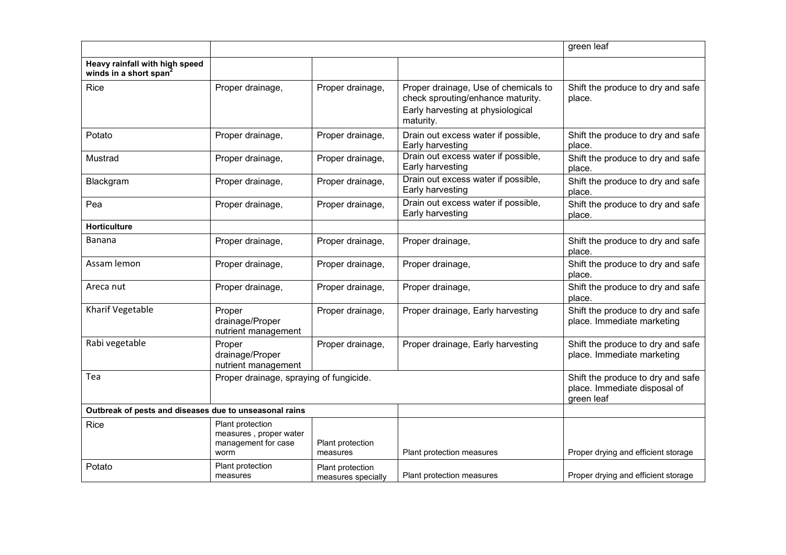|                                                                      |                                                                           |                                        |                                                                                                                             | green leaf                                                                      |
|----------------------------------------------------------------------|---------------------------------------------------------------------------|----------------------------------------|-----------------------------------------------------------------------------------------------------------------------------|---------------------------------------------------------------------------------|
| Heavy rainfall with high speed<br>winds in a short span <sup>2</sup> |                                                                           |                                        |                                                                                                                             |                                                                                 |
| Rice                                                                 | Proper drainage,                                                          | Proper drainage,                       | Proper drainage, Use of chemicals to<br>check sprouting/enhance maturity.<br>Early harvesting at physiological<br>maturity. | Shift the produce to dry and safe<br>place.                                     |
| Potato                                                               | Proper drainage,                                                          | Proper drainage,                       | Drain out excess water if possible,<br>Early harvesting                                                                     | Shift the produce to dry and safe<br>place.                                     |
| Mustrad                                                              | Proper drainage,                                                          | Proper drainage,                       | Drain out excess water if possible,<br>Early harvesting                                                                     | Shift the produce to dry and safe<br>place.                                     |
| Blackgram                                                            | Proper drainage,                                                          | Proper drainage,                       | Drain out excess water if possible,<br>Early harvesting                                                                     | Shift the produce to dry and safe<br>place.                                     |
| Pea                                                                  | Proper drainage,                                                          | Proper drainage,                       | Drain out excess water if possible,<br>Early harvesting                                                                     | Shift the produce to dry and safe<br>place.                                     |
| <b>Horticulture</b>                                                  |                                                                           |                                        |                                                                                                                             |                                                                                 |
| Banana                                                               | Proper drainage,                                                          | Proper drainage,                       | Proper drainage,                                                                                                            | Shift the produce to dry and safe<br>place.                                     |
| Assam lemon                                                          | Proper drainage,                                                          | Proper drainage,                       | Proper drainage,                                                                                                            | Shift the produce to dry and safe<br>place.                                     |
| Areca nut                                                            | Proper drainage,                                                          | Proper drainage,                       | Proper drainage,                                                                                                            | Shift the produce to dry and safe<br>place.                                     |
| Kharif Vegetable                                                     | Proper<br>drainage/Proper<br>nutrient management                          | Proper drainage,                       | Proper drainage, Early harvesting                                                                                           | Shift the produce to dry and safe<br>place. Immediate marketing                 |
| Rabi vegetable                                                       | Proper<br>drainage/Proper<br>nutrient management                          | Proper drainage,                       | Proper drainage, Early harvesting                                                                                           | Shift the produce to dry and safe<br>place. Immediate marketing                 |
| Tea                                                                  | Proper drainage, spraying of fungicide.                                   |                                        |                                                                                                                             | Shift the produce to dry and safe<br>place. Immediate disposal of<br>green leaf |
| Outbreak of pests and diseases due to unseasonal rains               |                                                                           |                                        |                                                                                                                             |                                                                                 |
| Rice                                                                 | Plant protection<br>measures, proper water<br>management for case<br>worm | Plant protection<br>measures           | Plant protection measures                                                                                                   | Proper drying and efficient storage                                             |
| Potato                                                               | Plant protection<br>measures                                              | Plant protection<br>measures specially | Plant protection measures                                                                                                   | Proper drying and efficient storage                                             |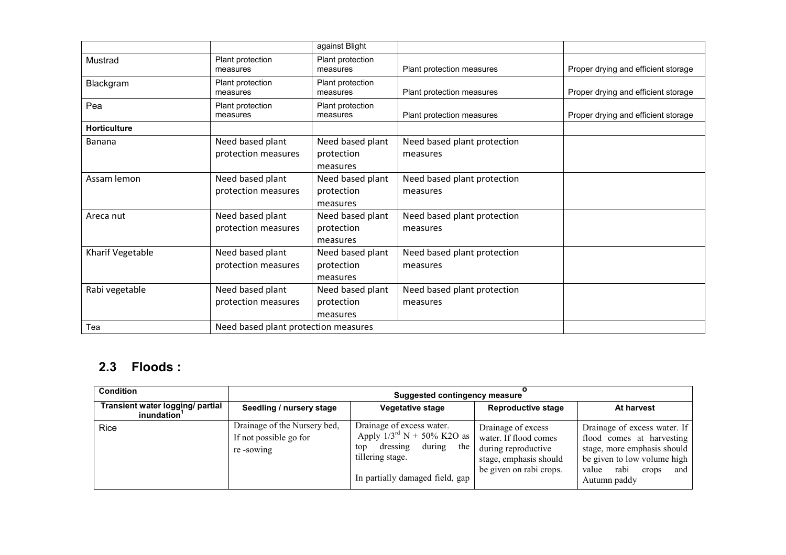|                     |                                      | against Blight               |                             |                                     |
|---------------------|--------------------------------------|------------------------------|-----------------------------|-------------------------------------|
| Mustrad             | Plant protection<br>measures         | Plant protection<br>measures | Plant protection measures   | Proper drying and efficient storage |
| Blackgram           | Plant protection<br>measures         | Plant protection<br>measures | Plant protection measures   | Proper drying and efficient storage |
| Pea                 | Plant protection<br>measures         | Plant protection<br>measures | Plant protection measures   | Proper drying and efficient storage |
| <b>Horticulture</b> |                                      |                              |                             |                                     |
| Banana              | Need based plant                     | Need based plant             | Need based plant protection |                                     |
|                     | protection measures                  | protection                   | measures                    |                                     |
|                     |                                      | measures                     |                             |                                     |
| Assam lemon         | Need based plant                     | Need based plant             | Need based plant protection |                                     |
|                     | protection measures                  | protection                   | measures                    |                                     |
|                     |                                      | measures                     |                             |                                     |
| Areca nut           | Need based plant                     | Need based plant             | Need based plant protection |                                     |
|                     | protection measures                  | protection                   | measures                    |                                     |
|                     |                                      | measures                     |                             |                                     |
| Kharif Vegetable    | Need based plant                     | Need based plant             | Need based plant protection |                                     |
|                     | protection measures                  | protection                   | measures                    |                                     |
|                     |                                      | measures                     |                             |                                     |
| Rabi vegetable      | Need based plant                     | Need based plant             | Need based plant protection |                                     |
|                     | protection measures                  | protection                   | measures                    |                                     |
|                     |                                      | measures                     |                             |                                     |
| Tea                 | Need based plant protection measures |                              |                             |                                     |

#### 2.3 Floods :

| <b>Condition</b>                                            | Suggested contingency measure                                       |                                                                                                                                                                |                                                                                                                         |                                                                                                                                                                          |
|-------------------------------------------------------------|---------------------------------------------------------------------|----------------------------------------------------------------------------------------------------------------------------------------------------------------|-------------------------------------------------------------------------------------------------------------------------|--------------------------------------------------------------------------------------------------------------------------------------------------------------------------|
| Transient water logging/ partial<br>inundation <sup>1</sup> | Seedling / nursery stage                                            | Vegetative stage                                                                                                                                               | <b>Reproductive stage</b>                                                                                               | At harvest                                                                                                                                                               |
| <b>Rice</b>                                                 | Drainage of the Nursery bed,<br>If not possible go for<br>re-sowing | Drainage of excess water.<br>Apply $1/3^{\text{rd}}$ N + 50% K2O as<br>during<br>dressing<br>the<br>top<br>tillering stage.<br>In partially damaged field, gap | Drainage of excess<br>water. If flood comes<br>during reproductive<br>stage, emphasis should<br>be given on rabi crops. | Drainage of excess water. If<br>flood comes at harvesting<br>stage, more emphasis should<br>be given to low volume high<br>rabi<br>value<br>crops<br>and<br>Autumn paddy |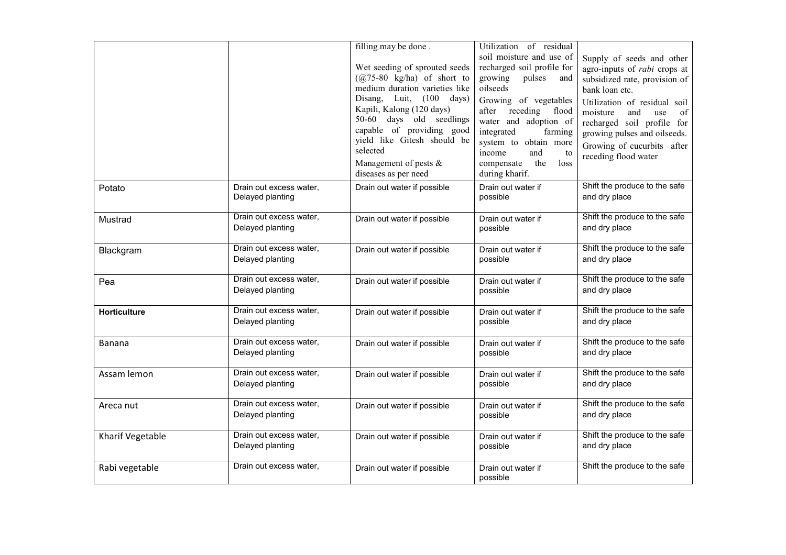|                     |                                             | filling may be done.<br>Wet seeding of sprouted seeds<br>$(a)$ 75-80 kg/ha) of short to<br>medium duration varieties like<br>Disang, Luit, (100 days)<br>Kapili, Kalong (120 days)<br>50-60 days old seedlings<br>capable of providing good<br>yield like Gitesh should be<br>selected<br>Management of pests $\&$<br>diseases as per need | Utilization of residual<br>soil moisture and use of<br>recharged soil profile for<br>growing<br>pulses<br>and<br>oilseeds<br>Growing of vegetables<br>after<br>receding<br>flood<br>water and adoption of<br>integrated<br>farming<br>system to obtain more<br>income<br>and<br>to<br>the<br>loss<br>compensate<br>during kharif. | Supply of seeds and other<br>agro-inputs of <i>rabi</i> crops at<br>subsidized rate, provision of<br>bank loan etc.<br>Utilization of residual soil<br>moisture<br>and<br>of<br>use<br>recharged soil profile for<br>growing pulses and oilseeds.<br>Growing of cucurbits after<br>receding flood water |
|---------------------|---------------------------------------------|--------------------------------------------------------------------------------------------------------------------------------------------------------------------------------------------------------------------------------------------------------------------------------------------------------------------------------------------|-----------------------------------------------------------------------------------------------------------------------------------------------------------------------------------------------------------------------------------------------------------------------------------------------------------------------------------|---------------------------------------------------------------------------------------------------------------------------------------------------------------------------------------------------------------------------------------------------------------------------------------------------------|
| Potato              | Drain out excess water,<br>Delayed planting | Drain out water if possible                                                                                                                                                                                                                                                                                                                | Drain out water if<br>possible                                                                                                                                                                                                                                                                                                    | Shift the produce to the safe<br>and dry place                                                                                                                                                                                                                                                          |
| Mustrad             | Drain out excess water,<br>Delayed planting | Drain out water if possible                                                                                                                                                                                                                                                                                                                | Drain out water if<br>possible                                                                                                                                                                                                                                                                                                    | Shift the produce to the safe<br>and dry place                                                                                                                                                                                                                                                          |
| Blackgram           | Drain out excess water,<br>Delayed planting | Drain out water if possible                                                                                                                                                                                                                                                                                                                | Drain out water if<br>possible                                                                                                                                                                                                                                                                                                    | Shift the produce to the safe<br>and dry place                                                                                                                                                                                                                                                          |
| Pea                 | Drain out excess water,<br>Delayed planting | Drain out water if possible                                                                                                                                                                                                                                                                                                                | Drain out water if<br>possible                                                                                                                                                                                                                                                                                                    | Shift the produce to the safe<br>and dry place                                                                                                                                                                                                                                                          |
| <b>Horticulture</b> | Drain out excess water,<br>Delayed planting | Drain out water if possible                                                                                                                                                                                                                                                                                                                | Drain out water if<br>possible                                                                                                                                                                                                                                                                                                    | Shift the produce to the safe<br>and dry place                                                                                                                                                                                                                                                          |
| <b>Banana</b>       | Drain out excess water,<br>Delayed planting | Drain out water if possible                                                                                                                                                                                                                                                                                                                | Drain out water if<br>possible                                                                                                                                                                                                                                                                                                    | Shift the produce to the safe<br>and dry place                                                                                                                                                                                                                                                          |
| Assam lemon         | Drain out excess water,<br>Delayed planting | Drain out water if possible                                                                                                                                                                                                                                                                                                                | Drain out water if<br>possible                                                                                                                                                                                                                                                                                                    | Shift the produce to the safe<br>and dry place                                                                                                                                                                                                                                                          |
| Areca nut           | Drain out excess water,<br>Delayed planting | Drain out water if possible                                                                                                                                                                                                                                                                                                                | Drain out water if<br>possible                                                                                                                                                                                                                                                                                                    | Shift the produce to the safe<br>and dry place                                                                                                                                                                                                                                                          |
| Kharif Vegetable    | Drain out excess water,<br>Delayed planting | Drain out water if possible                                                                                                                                                                                                                                                                                                                | Drain out water if<br>possible                                                                                                                                                                                                                                                                                                    | Shift the produce to the safe<br>and dry place                                                                                                                                                                                                                                                          |
| Rabi vegetable      | Drain out excess water,                     | Drain out water if possible                                                                                                                                                                                                                                                                                                                | Drain out water if<br>possible                                                                                                                                                                                                                                                                                                    | Shift the produce to the safe                                                                                                                                                                                                                                                                           |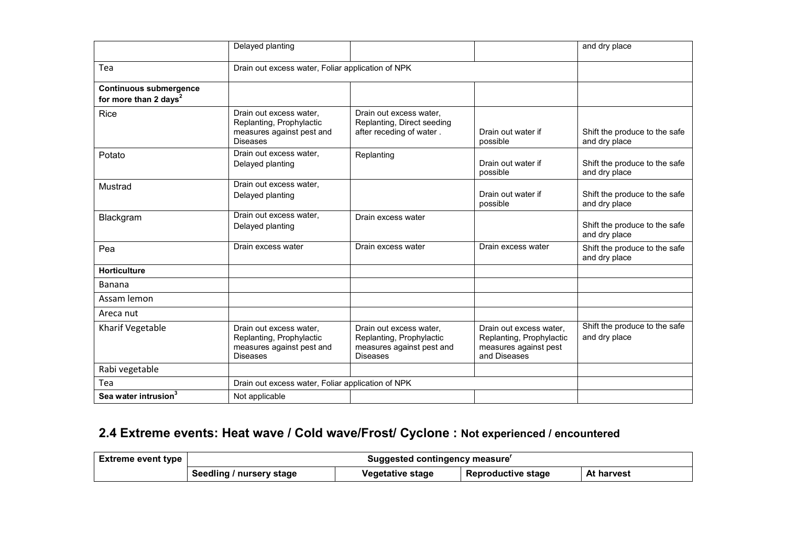|                                                                    | Delayed planting                                                                                    |                                                                                                     |                                                                                              | and dry place                                  |
|--------------------------------------------------------------------|-----------------------------------------------------------------------------------------------------|-----------------------------------------------------------------------------------------------------|----------------------------------------------------------------------------------------------|------------------------------------------------|
| Tea                                                                | Drain out excess water, Foliar application of NPK                                                   |                                                                                                     |                                                                                              |                                                |
| <b>Continuous submergence</b><br>for more than 2 days <sup>2</sup> |                                                                                                     |                                                                                                     |                                                                                              |                                                |
| Rice                                                               | Drain out excess water,<br>Replanting, Prophylactic<br>measures against pest and<br><b>Diseases</b> | Drain out excess water,<br>Replanting, Direct seeding<br>after receding of water.                   | Drain out water if<br>possible                                                               | Shift the produce to the safe<br>and dry place |
| Potato                                                             | Drain out excess water.<br>Delayed planting                                                         | Replanting                                                                                          | Drain out water if<br>possible                                                               | Shift the produce to the safe<br>and dry place |
| Mustrad                                                            | Drain out excess water,<br>Delayed planting                                                         |                                                                                                     | Drain out water if<br>possible                                                               | Shift the produce to the safe<br>and dry place |
| Blackgram                                                          | Drain out excess water.<br>Delayed planting                                                         | Drain excess water                                                                                  |                                                                                              | Shift the produce to the safe<br>and dry place |
| Pea                                                                | Drain excess water                                                                                  | Drain excess water                                                                                  | Drain excess water                                                                           | Shift the produce to the safe<br>and dry place |
| <b>Horticulture</b>                                                |                                                                                                     |                                                                                                     |                                                                                              |                                                |
| Banana                                                             |                                                                                                     |                                                                                                     |                                                                                              |                                                |
| Assam lemon                                                        |                                                                                                     |                                                                                                     |                                                                                              |                                                |
| Areca nut                                                          |                                                                                                     |                                                                                                     |                                                                                              |                                                |
| Kharif Vegetable                                                   | Drain out excess water,<br>Replanting, Prophylactic<br>measures against pest and<br><b>Diseases</b> | Drain out excess water,<br>Replanting, Prophylactic<br>measures against pest and<br><b>Diseases</b> | Drain out excess water,<br>Replanting, Prophylactic<br>measures against pest<br>and Diseases | Shift the produce to the safe<br>and dry place |
| Rabi vegetable                                                     |                                                                                                     |                                                                                                     |                                                                                              |                                                |
| Tea                                                                | Drain out excess water, Foliar application of NPK                                                   |                                                                                                     |                                                                                              |                                                |
| Sea water intrusion <sup>3</sup>                                   | Not applicable                                                                                      |                                                                                                     |                                                                                              |                                                |

## 2.4 Extreme events: Heat wave / Cold wave/Frost/ Cyclone : Not experienced / encountered

| Extreme event type |                          | Suggested contingency measure' |                           |            |  |  |
|--------------------|--------------------------|--------------------------------|---------------------------|------------|--|--|
|                    | Seedling / nursery stage | Vegetative stage               | <b>Reproductive stage</b> | At harvest |  |  |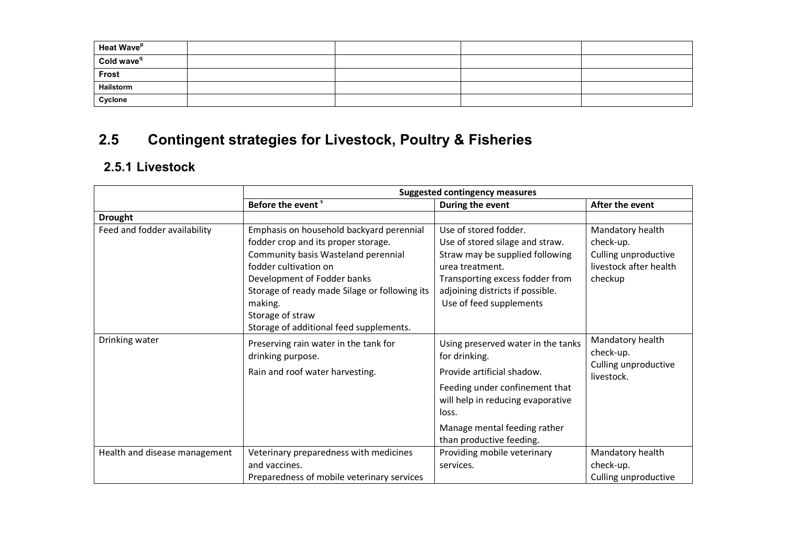| Heat Wave <sup>p</sup> |  |  |
|------------------------|--|--|
| Cold wave <sup>q</sup> |  |  |
| <b>Frost</b><br>$\sim$ |  |  |
| Hailstorm              |  |  |
| Cyclone                |  |  |

## 2.5 Contingent strategies for Livestock, Poultry & Fisheries

#### 2.5.1 Livestock

|                               | <b>Suggested contingency measures</b>                                                                                                                                                                                                                                                                     |                                                                                                                                                                                                                               |                                                                                            |  |
|-------------------------------|-----------------------------------------------------------------------------------------------------------------------------------------------------------------------------------------------------------------------------------------------------------------------------------------------------------|-------------------------------------------------------------------------------------------------------------------------------------------------------------------------------------------------------------------------------|--------------------------------------------------------------------------------------------|--|
|                               | Before the event <sup>s</sup>                                                                                                                                                                                                                                                                             | During the event                                                                                                                                                                                                              | After the event                                                                            |  |
| <b>Drought</b>                |                                                                                                                                                                                                                                                                                                           |                                                                                                                                                                                                                               |                                                                                            |  |
| Feed and fodder availability  | Emphasis on household backyard perennial<br>fodder crop and its proper storage.<br>Community basis Wasteland perennial<br>fodder cultivation on<br>Development of Fodder banks<br>Storage of ready made Silage or following its<br>making.<br>Storage of straw<br>Storage of additional feed supplements. | Use of stored fodder.<br>Use of stored silage and straw.<br>Straw may be supplied following<br>urea treatment.<br>Transporting excess fodder from<br>adjoining districts if possible.<br>Use of feed supplements              | Mandatory health<br>check-up.<br>Culling unproductive<br>livestock after health<br>checkup |  |
| Drinking water                | Preserving rain water in the tank for<br>drinking purpose.<br>Rain and roof water harvesting.                                                                                                                                                                                                             | Using preserved water in the tanks<br>for drinking.<br>Provide artificial shadow.<br>Feeding under confinement that<br>will help in reducing evaporative<br>loss.<br>Manage mental feeding rather<br>than productive feeding. | Mandatory health<br>check-up.<br>Culling unproductive<br>livestock.                        |  |
| Health and disease management | Veterinary preparedness with medicines<br>and vaccines.<br>Preparedness of mobile veterinary services                                                                                                                                                                                                     | Providing mobile veterinary<br>services.                                                                                                                                                                                      | Mandatory health<br>check-up.<br>Culling unproductive                                      |  |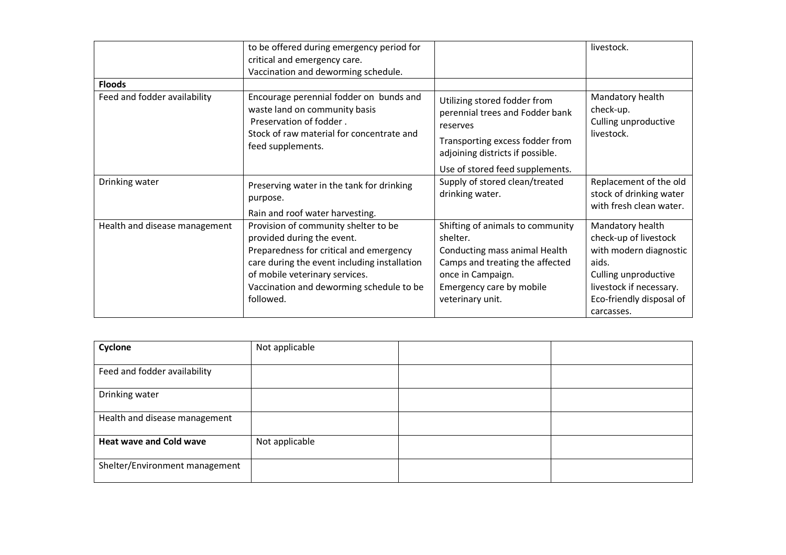|                               | to be offered during emergency period for                                                                                                                                                                                                                |                                                                                                                                                                                       | livestock.                                                                                                                                                                |
|-------------------------------|----------------------------------------------------------------------------------------------------------------------------------------------------------------------------------------------------------------------------------------------------------|---------------------------------------------------------------------------------------------------------------------------------------------------------------------------------------|---------------------------------------------------------------------------------------------------------------------------------------------------------------------------|
|                               | critical and emergency care.                                                                                                                                                                                                                             |                                                                                                                                                                                       |                                                                                                                                                                           |
|                               | Vaccination and deworming schedule.                                                                                                                                                                                                                      |                                                                                                                                                                                       |                                                                                                                                                                           |
| <b>Floods</b>                 |                                                                                                                                                                                                                                                          |                                                                                                                                                                                       |                                                                                                                                                                           |
| Feed and fodder availability  | Encourage perennial fodder on bunds and<br>waste land on community basis<br>Preservation of fodder.<br>Stock of raw material for concentrate and<br>feed supplements.                                                                                    | Utilizing stored fodder from<br>perennial trees and Fodder bank<br>reserves<br>Transporting excess fodder from<br>adjoining districts if possible.                                    | Mandatory health<br>check-up.<br>Culling unproductive<br>livestock.                                                                                                       |
|                               |                                                                                                                                                                                                                                                          | Use of stored feed supplements.                                                                                                                                                       |                                                                                                                                                                           |
| Drinking water                | Preserving water in the tank for drinking<br>purpose.<br>Rain and roof water harvesting.                                                                                                                                                                 | Supply of stored clean/treated<br>drinking water.                                                                                                                                     | Replacement of the old<br>stock of drinking water<br>with fresh clean water.                                                                                              |
| Health and disease management | Provision of community shelter to be<br>provided during the event.<br>Preparedness for critical and emergency<br>care during the event including installation<br>of mobile veterinary services.<br>Vaccination and deworming schedule to be<br>followed. | Shifting of animals to community<br>shelter.<br>Conducting mass animal Health<br>Camps and treating the affected<br>once in Campaign.<br>Emergency care by mobile<br>veterinary unit. | Mandatory health<br>check-up of livestock<br>with modern diagnostic<br>aids.<br>Culling unproductive<br>livestock if necessary.<br>Eco-friendly disposal of<br>carcasses. |

| Cyclone                        | Not applicable |  |
|--------------------------------|----------------|--|
| Feed and fodder availability   |                |  |
| Drinking water                 |                |  |
| Health and disease management  |                |  |
| <b>Heat wave and Cold wave</b> | Not applicable |  |
| Shelter/Environment management |                |  |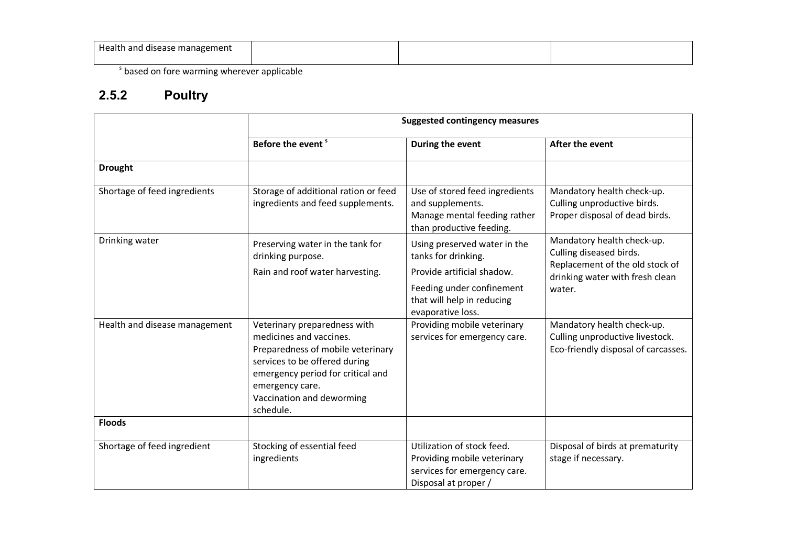| Health and disease management<br>. . |  |  |
|--------------------------------------|--|--|
|                                      |  |  |

<sup>s</sup> based on fore warming wherever applicable

#### 2.5.2 Poultry

|                               | <b>Suggested contingency measures</b>                                                                                                                                                                                           |                                                                                                                   |                                                                                                      |
|-------------------------------|---------------------------------------------------------------------------------------------------------------------------------------------------------------------------------------------------------------------------------|-------------------------------------------------------------------------------------------------------------------|------------------------------------------------------------------------------------------------------|
|                               | Before the event <sup>s</sup>                                                                                                                                                                                                   | During the event                                                                                                  | After the event                                                                                      |
| <b>Drought</b>                |                                                                                                                                                                                                                                 |                                                                                                                   |                                                                                                      |
| Shortage of feed ingredients  | Storage of additional ration or feed<br>ingredients and feed supplements.                                                                                                                                                       | Use of stored feed ingredients<br>and supplements.<br>Manage mental feeding rather<br>than productive feeding.    | Mandatory health check-up.<br>Culling unproductive birds.<br>Proper disposal of dead birds.          |
| Drinking water                | Preserving water in the tank for<br>drinking purpose.                                                                                                                                                                           | Using preserved water in the<br>tanks for drinking.                                                               | Mandatory health check-up.<br>Culling diseased birds.                                                |
|                               | Rain and roof water harvesting.                                                                                                                                                                                                 | Provide artificial shadow.                                                                                        | Replacement of the old stock of<br>drinking water with fresh clean                                   |
|                               |                                                                                                                                                                                                                                 | Feeding under confinement<br>that will help in reducing<br>evaporative loss.                                      | water.                                                                                               |
| Health and disease management | Veterinary preparedness with<br>medicines and vaccines.<br>Preparedness of mobile veterinary<br>services to be offered during<br>emergency period for critical and<br>emergency care.<br>Vaccination and deworming<br>schedule. | Providing mobile veterinary<br>services for emergency care.                                                       | Mandatory health check-up.<br>Culling unproductive livestock.<br>Eco-friendly disposal of carcasses. |
| <b>Floods</b>                 |                                                                                                                                                                                                                                 |                                                                                                                   |                                                                                                      |
| Shortage of feed ingredient   | Stocking of essential feed<br>ingredients                                                                                                                                                                                       | Utilization of stock feed.<br>Providing mobile veterinary<br>services for emergency care.<br>Disposal at proper / | Disposal of birds at prematurity<br>stage if necessary.                                              |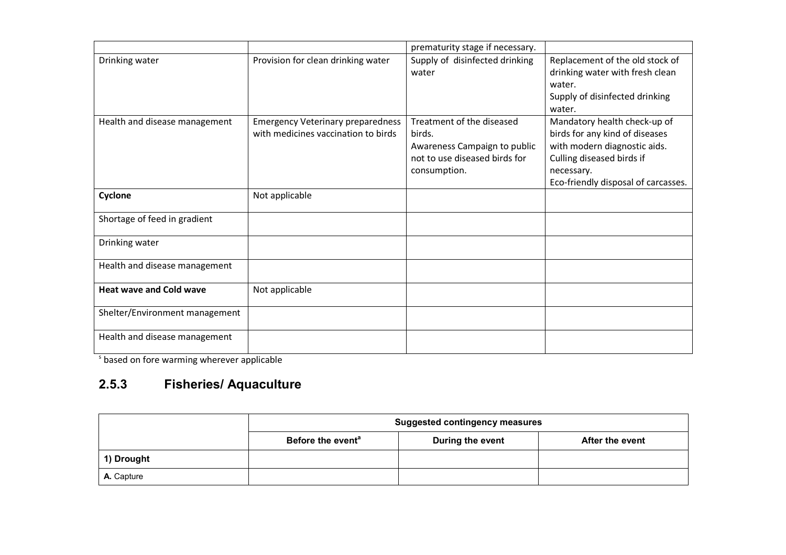|                                |                                                                                 | prematurity stage if necessary.                                                                                      |                                                                                                                                                                                  |
|--------------------------------|---------------------------------------------------------------------------------|----------------------------------------------------------------------------------------------------------------------|----------------------------------------------------------------------------------------------------------------------------------------------------------------------------------|
| Drinking water                 | Provision for clean drinking water                                              | Supply of disinfected drinking<br>water                                                                              | Replacement of the old stock of<br>drinking water with fresh clean<br>water.<br>Supply of disinfected drinking<br>water.                                                         |
| Health and disease management  | <b>Emergency Veterinary preparedness</b><br>with medicines vaccination to birds | Treatment of the diseased<br>birds.<br>Awareness Campaign to public<br>not to use diseased birds for<br>consumption. | Mandatory health check-up of<br>birds for any kind of diseases<br>with modern diagnostic aids.<br>Culling diseased birds if<br>necessary.<br>Eco-friendly disposal of carcasses. |
| Cyclone                        | Not applicable                                                                  |                                                                                                                      |                                                                                                                                                                                  |
| Shortage of feed in gradient   |                                                                                 |                                                                                                                      |                                                                                                                                                                                  |
| Drinking water                 |                                                                                 |                                                                                                                      |                                                                                                                                                                                  |
| Health and disease management  |                                                                                 |                                                                                                                      |                                                                                                                                                                                  |
| <b>Heat wave and Cold wave</b> | Not applicable                                                                  |                                                                                                                      |                                                                                                                                                                                  |
| Shelter/Environment management |                                                                                 |                                                                                                                      |                                                                                                                                                                                  |
| Health and disease management  |                                                                                 |                                                                                                                      |                                                                                                                                                                                  |

<sup>s</sup> based on fore warming wherever applicable

### 2.5.3 Fisheries/ Aquaculture

|            | <b>Suggested contingency measures</b> |                  |                 |
|------------|---------------------------------------|------------------|-----------------|
|            | Before the event <sup>a</sup>         | During the event | After the event |
| 1) Drought |                                       |                  |                 |
| A. Capture |                                       |                  |                 |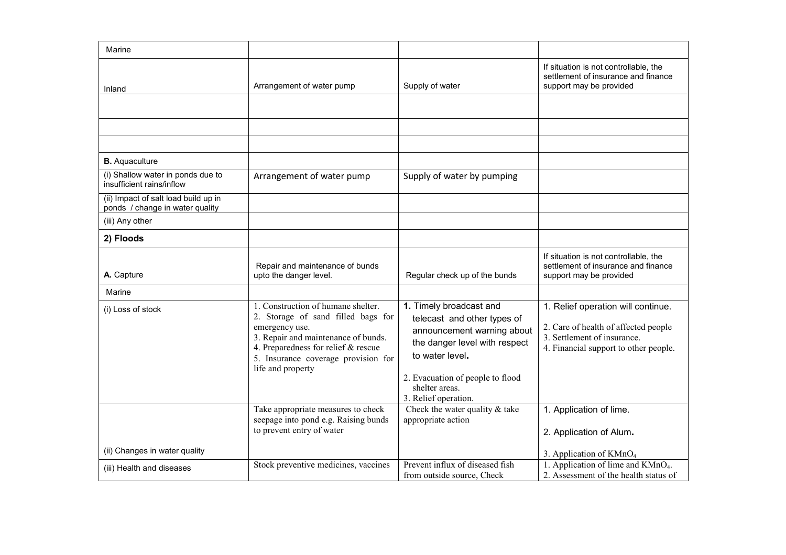| Marine                                                                  |                                                                                                                                                                                                                                        |                                                                                                                                                                                                                        |                                                                                                                                                    |
|-------------------------------------------------------------------------|----------------------------------------------------------------------------------------------------------------------------------------------------------------------------------------------------------------------------------------|------------------------------------------------------------------------------------------------------------------------------------------------------------------------------------------------------------------------|----------------------------------------------------------------------------------------------------------------------------------------------------|
| Inland                                                                  | Arrangement of water pump                                                                                                                                                                                                              | Supply of water                                                                                                                                                                                                        | If situation is not controllable, the<br>settlement of insurance and finance<br>support may be provided                                            |
|                                                                         |                                                                                                                                                                                                                                        |                                                                                                                                                                                                                        |                                                                                                                                                    |
|                                                                         |                                                                                                                                                                                                                                        |                                                                                                                                                                                                                        |                                                                                                                                                    |
|                                                                         |                                                                                                                                                                                                                                        |                                                                                                                                                                                                                        |                                                                                                                                                    |
| <b>B.</b> Aquaculture                                                   |                                                                                                                                                                                                                                        |                                                                                                                                                                                                                        |                                                                                                                                                    |
| (i) Shallow water in ponds due to<br>insufficient rains/inflow          | Arrangement of water pump                                                                                                                                                                                                              | Supply of water by pumping                                                                                                                                                                                             |                                                                                                                                                    |
| (ii) Impact of salt load build up in<br>ponds / change in water quality |                                                                                                                                                                                                                                        |                                                                                                                                                                                                                        |                                                                                                                                                    |
| (iii) Any other                                                         |                                                                                                                                                                                                                                        |                                                                                                                                                                                                                        |                                                                                                                                                    |
| 2) Floods                                                               |                                                                                                                                                                                                                                        |                                                                                                                                                                                                                        |                                                                                                                                                    |
| A. Capture                                                              | Repair and maintenance of bunds<br>upto the danger level.                                                                                                                                                                              | Regular check up of the bunds                                                                                                                                                                                          | If situation is not controllable, the<br>settlement of insurance and finance<br>support may be provided                                            |
| Marine                                                                  |                                                                                                                                                                                                                                        |                                                                                                                                                                                                                        |                                                                                                                                                    |
| (i) Loss of stock                                                       | 1. Construction of humane shelter.<br>2. Storage of sand filled bags for<br>emergency use.<br>3. Repair and maintenance of bunds.<br>4. Preparedness for relief $&$ rescue<br>5. Insurance coverage provision for<br>life and property | 1. Timely broadcast and<br>telecast and other types of<br>announcement warning about<br>the danger level with respect<br>to water level.<br>2. Evacuation of people to flood<br>shelter areas.<br>3. Relief operation. | 1. Relief operation will continue.<br>2. Care of health of affected people<br>3. Settlement of insurance.<br>4. Financial support to other people. |
|                                                                         | Take appropriate measures to check<br>seepage into pond e.g. Raising bunds<br>to prevent entry of water                                                                                                                                | Check the water quality $&$ take<br>appropriate action                                                                                                                                                                 | 1. Application of lime.<br>2. Application of Alum.                                                                                                 |
| (ii) Changes in water quality                                           |                                                                                                                                                                                                                                        |                                                                                                                                                                                                                        | 3. Application of KMnO <sub>4</sub>                                                                                                                |
| (iii) Health and diseases                                               | Stock preventive medicines, vaccines                                                                                                                                                                                                   | Prevent influx of diseased fish<br>from outside source, Check                                                                                                                                                          | 1. Application of lime and $K MnO4$ .<br>2. Assessment of the health status of                                                                     |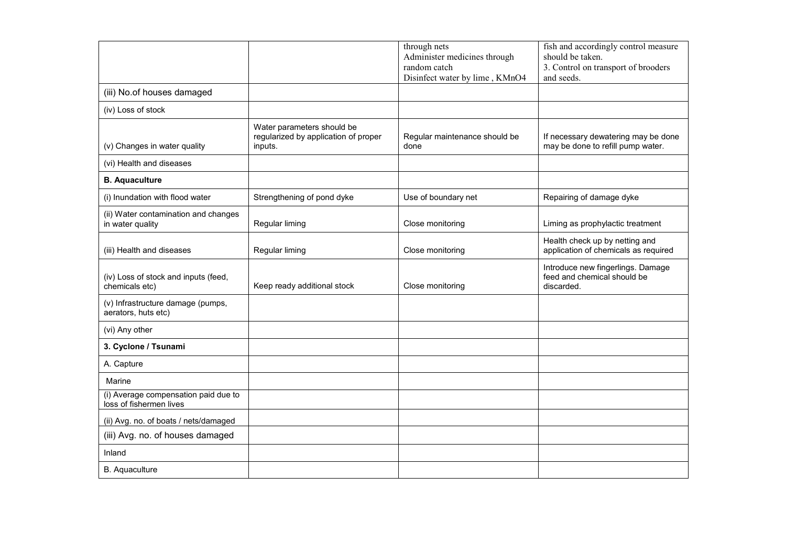|                                                                 |                                                                               | through nets<br>Administer medicines through<br>random catch<br>Disinfect water by lime, KMnO4 | fish and accordingly control measure<br>should be taken.<br>3. Control on transport of brooders<br>and seeds. |
|-----------------------------------------------------------------|-------------------------------------------------------------------------------|------------------------------------------------------------------------------------------------|---------------------------------------------------------------------------------------------------------------|
| (iii) No.of houses damaged                                      |                                                                               |                                                                                                |                                                                                                               |
| (iv) Loss of stock                                              |                                                                               |                                                                                                |                                                                                                               |
| (v) Changes in water quality                                    | Water parameters should be<br>regularized by application of proper<br>inputs. | Regular maintenance should be<br>done                                                          | If necessary dewatering may be done<br>may be done to refill pump water.                                      |
| (vi) Health and diseases                                        |                                                                               |                                                                                                |                                                                                                               |
| <b>B.</b> Aquaculture                                           |                                                                               |                                                                                                |                                                                                                               |
| (i) Inundation with flood water                                 | Strengthening of pond dyke                                                    | Use of boundary net                                                                            | Repairing of damage dyke                                                                                      |
| (ii) Water contamination and changes<br>in water quality        | Regular liming                                                                | Close monitoring                                                                               | Liming as prophylactic treatment                                                                              |
| (iii) Health and diseases                                       | Regular liming                                                                | Close monitoring                                                                               | Health check up by netting and<br>application of chemicals as required                                        |
| (iv) Loss of stock and inputs (feed,<br>chemicals etc)          | Keep ready additional stock                                                   | Close monitoring                                                                               | Introduce new fingerlings. Damage<br>feed and chemical should be<br>discarded.                                |
| (v) Infrastructure damage (pumps,<br>aerators, huts etc)        |                                                                               |                                                                                                |                                                                                                               |
| (vi) Any other                                                  |                                                                               |                                                                                                |                                                                                                               |
| 3. Cyclone / Tsunami                                            |                                                                               |                                                                                                |                                                                                                               |
| A. Capture                                                      |                                                                               |                                                                                                |                                                                                                               |
| Marine                                                          |                                                                               |                                                                                                |                                                                                                               |
| (i) Average compensation paid due to<br>loss of fishermen lives |                                                                               |                                                                                                |                                                                                                               |
| (ii) Avg. no. of boats / nets/damaged                           |                                                                               |                                                                                                |                                                                                                               |
| (iii) Avg. no. of houses damaged                                |                                                                               |                                                                                                |                                                                                                               |
| Inland                                                          |                                                                               |                                                                                                |                                                                                                               |
| B. Aquaculture                                                  |                                                                               |                                                                                                |                                                                                                               |